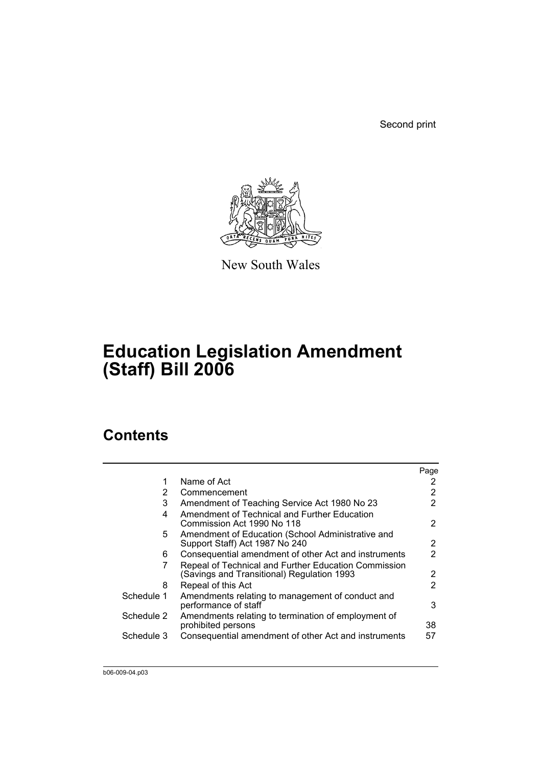Second print



New South Wales

# **Education Legislation Amendment (Staff) Bill 2006**

# **Contents**

|            |                                                                                                    | Page |
|------------|----------------------------------------------------------------------------------------------------|------|
| 1          | Name of Act                                                                                        | 2    |
| 2          | Commencement                                                                                       | 2    |
| 3          | Amendment of Teaching Service Act 1980 No 23                                                       | 2    |
| 4          | Amendment of Technical and Further Education<br>Commission Act 1990 No 118                         | 2    |
| 5.         | Amendment of Education (School Administrative and<br>Support Staff) Act 1987 No 240                | 2    |
| 6          | Consequential amendment of other Act and instruments                                               | 2    |
| 7          | Repeal of Technical and Further Education Commission<br>(Savings and Transitional) Regulation 1993 | 2    |
| 8          | Repeal of this Act                                                                                 | 2    |
| Schedule 1 | Amendments relating to management of conduct and<br>performance of staff                           | 3    |
| Schedule 2 | Amendments relating to termination of employment of<br>prohibited persons                          | 38   |
| Schedule 3 | Consequential amendment of other Act and instruments                                               | 57   |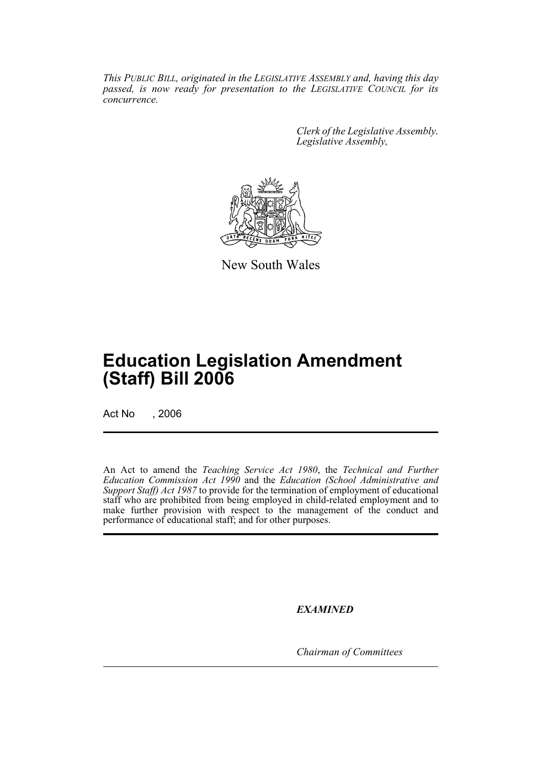*This PUBLIC BILL, originated in the LEGISLATIVE ASSEMBLY and, having this day passed, is now ready for presentation to the LEGISLATIVE COUNCIL for its concurrence.*

> *Clerk of the Legislative Assembly. Legislative Assembly,*



New South Wales

# **Education Legislation Amendment (Staff) Bill 2006**

Act No , 2006

An Act to amend the *Teaching Service Act 1980*, the *Technical and Further Education Commission Act 1990* and the *Education (School Administrative and Support Staff) Act 1987* to provide for the termination of employment of educational staff who are prohibited from being employed in child-related employment and to make further provision with respect to the management of the conduct and performance of educational staff; and for other purposes.

*EXAMINED*

*Chairman of Committees*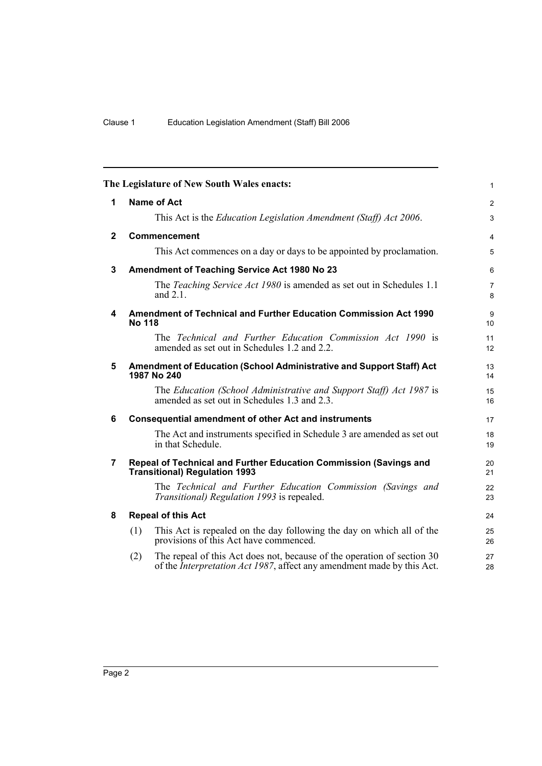|              | The Legislature of New South Wales enacts:                                                                                                                       | $\mathbf{1}$        |
|--------------|------------------------------------------------------------------------------------------------------------------------------------------------------------------|---------------------|
| 1            | <b>Name of Act</b>                                                                                                                                               | 2                   |
|              | This Act is the Education Legislation Amendment (Staff) Act 2006.                                                                                                | 3                   |
| $\mathbf{2}$ | <b>Commencement</b>                                                                                                                                              | $\overline{4}$      |
|              | This Act commences on a day or days to be appointed by proclamation.                                                                                             | 5                   |
| 3            | Amendment of Teaching Service Act 1980 No 23                                                                                                                     | 6                   |
|              | The <i>Teaching Service Act 1980</i> is amended as set out in Schedules 1.1<br>and $2.1$ .                                                                       | $\overline{7}$<br>8 |
| 4            | Amendment of Technical and Further Education Commission Act 1990<br><b>No 118</b>                                                                                | 9<br>10             |
|              | The Technical and Further Education Commission Act 1990 is<br>amended as set out in Schedules 1.2 and 2.2.                                                       | 11<br>12            |
| 5            | Amendment of Education (School Administrative and Support Staff) Act<br>1987 No 240                                                                              | 13<br>14            |
|              | The Education (School Administrative and Support Staff) Act 1987 is<br>amended as set out in Schedules 1.3 and 2.3.                                              | 15<br>16            |
| 6            | <b>Consequential amendment of other Act and instruments</b>                                                                                                      | 17                  |
|              | The Act and instruments specified in Schedule 3 are amended as set out<br>in that Schedule.                                                                      | 18<br>19            |
| 7            | Repeal of Technical and Further Education Commission (Savings and<br><b>Transitional) Regulation 1993</b>                                                        | 20<br>21            |
|              | The Technical and Further Education Commission (Savings and<br>Transitional) Regulation 1993 is repealed.                                                        | 22<br>23            |
| 8            | <b>Repeal of this Act</b>                                                                                                                                        | 24                  |
|              | This Act is repealed on the day following the day on which all of the<br>(1)<br>provisions of this Act have commenced.                                           | 25<br>26            |
|              | The repeal of this Act does not, because of the operation of section 30<br>(2)<br>of the <i>Interpretation Act 1987</i> , affect any amendment made by this Act. | 27<br>28            |
|              |                                                                                                                                                                  |                     |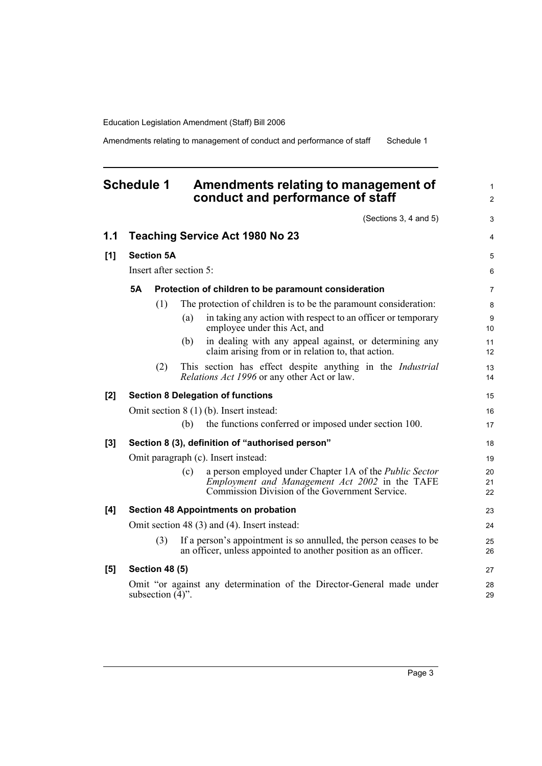Amendments relating to management of conduct and performance of staff Schedule 1

# **Schedule 1 Amendments relating to management of conduct and performance of staff**

(Sections 3, 4 and 5)

|     |                                     |                           |                         | (Sections 3, 4 and 5)                                                                                                                                              | 3              |
|-----|-------------------------------------|---------------------------|-------------------------|--------------------------------------------------------------------------------------------------------------------------------------------------------------------|----------------|
| 1.1 |                                     |                           |                         | <b>Teaching Service Act 1980 No 23</b>                                                                                                                             | 4              |
| [1] |                                     | <b>Section 5A</b>         |                         |                                                                                                                                                                    | 5              |
|     |                                     |                           | Insert after section 5: |                                                                                                                                                                    | 6              |
|     | <b>5A</b>                           |                           |                         | Protection of children to be paramount consideration                                                                                                               | $\overline{7}$ |
|     |                                     | (1)                       |                         | The protection of children is to be the paramount consideration:                                                                                                   | 8              |
|     |                                     |                           | (a)                     | in taking any action with respect to an officer or temporary<br>employee under this Act, and                                                                       | 9<br>10        |
|     |                                     |                           | (b)                     | in dealing with any appeal against, or determining any<br>claim arising from or in relation to, that action.                                                       | 11<br>12       |
|     |                                     | (2)                       |                         | This section has effect despite anything in the <i>Industrial</i><br>Relations Act 1996 or any other Act or law.                                                   | 13<br>14       |
| [2] |                                     |                           |                         | <b>Section 8 Delegation of functions</b>                                                                                                                           | 15             |
|     |                                     |                           |                         | Omit section 8 (1) (b). Insert instead:                                                                                                                            | 16             |
|     |                                     |                           | (b)                     | the functions conferred or imposed under section 100.                                                                                                              | 17             |
| [3] |                                     |                           |                         | Section 8 (3), definition of "authorised person"                                                                                                                   | 18             |
|     | Omit paragraph (c). Insert instead: |                           |                         |                                                                                                                                                                    |                |
|     |                                     |                           | (c)                     | a person employed under Chapter 1A of the Public Sector<br><i>Employment and Management Act 2002</i> in the TAFE<br>Commission Division of the Government Service. | 20<br>21<br>22 |
| [4] |                                     |                           |                         | <b>Section 48 Appointments on probation</b>                                                                                                                        | 23             |
|     |                                     |                           |                         | Omit section 48 (3) and (4). Insert instead:                                                                                                                       | 24             |
|     |                                     | (3)                       |                         | If a person's appointment is so annulled, the person ceases to be<br>an officer, unless appointed to another position as an officer.                               | 25<br>26       |
| [5] |                                     | <b>Section 48 (5)</b>     |                         |                                                                                                                                                                    | 27             |
|     |                                     | subsection $(\bar{4})$ ". |                         | Omit "or against any determination of the Director-General made under                                                                                              | 28<br>29       |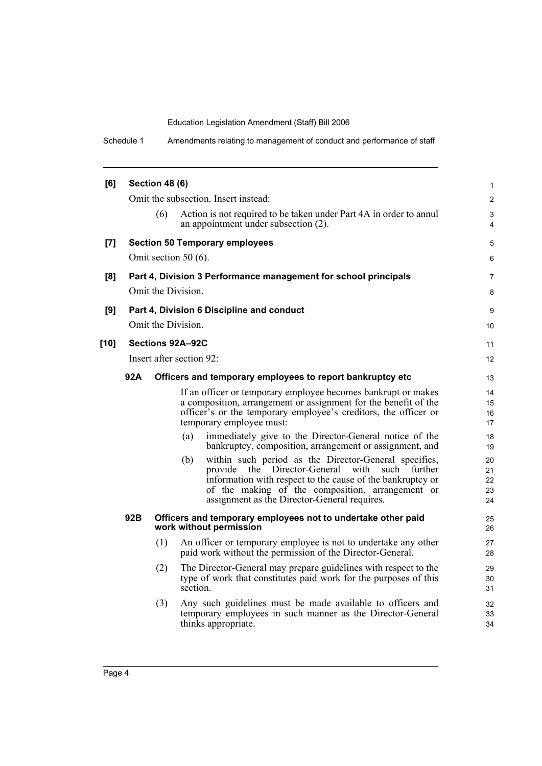Schedule 1 Amendments relating to management of conduct and performance of staff

| [6]    |                    | <b>Section 48 (6)</b>          |                         |                                                                                                                                                                                                                                                                           | 1                          |  |
|--------|--------------------|--------------------------------|-------------------------|---------------------------------------------------------------------------------------------------------------------------------------------------------------------------------------------------------------------------------------------------------------------------|----------------------------|--|
|        |                    |                                |                         | Omit the subsection. Insert instead:                                                                                                                                                                                                                                      | $\overline{2}$             |  |
|        |                    | (6)                            |                         | Action is not required to be taken under Part 4A in order to annul<br>an appointment under subsection (2).                                                                                                                                                                | 3<br>$\overline{4}$        |  |
| [7]    |                    |                                |                         | <b>Section 50 Temporary employees</b>                                                                                                                                                                                                                                     | 5                          |  |
|        |                    |                                | Omit section 50 $(6)$ . |                                                                                                                                                                                                                                                                           | 6                          |  |
| [8]    |                    |                                |                         | Part 4, Division 3 Performance management for school principals                                                                                                                                                                                                           | $\overline{7}$             |  |
|        |                    |                                | Omit the Division.      |                                                                                                                                                                                                                                                                           | 8                          |  |
| [9]    |                    |                                |                         | Part 4, Division 6 Discipline and conduct                                                                                                                                                                                                                                 | 9                          |  |
|        | Omit the Division. |                                |                         |                                                                                                                                                                                                                                                                           |                            |  |
| $[10]$ |                    |                                | Sections 92A-92C        |                                                                                                                                                                                                                                                                           | 11                         |  |
|        |                    | Insert after section 92:<br>12 |                         |                                                                                                                                                                                                                                                                           |                            |  |
|        | 92A                |                                |                         | Officers and temporary employees to report bankruptcy etc                                                                                                                                                                                                                 | 13                         |  |
|        |                    |                                |                         | If an officer or temporary employee becomes bankrupt or makes<br>a composition, arrangement or assignment for the benefit of the<br>officer's or the temporary employee's creditors, the officer or<br>temporary employee must:                                           | 14<br>15<br>16<br>17       |  |
|        |                    |                                | (a)                     | immediately give to the Director-General notice of the<br>bankruptcy, composition, arrangement or assignment, and                                                                                                                                                         | 18<br>19                   |  |
|        |                    |                                | (b)                     | within such period as the Director-General specifies,<br>provide the Director-General with such further<br>information with respect to the cause of the bankruptcy or<br>of the making of the composition, arrangement or<br>assignment as the Director-General requires. | 20<br>21<br>22<br>23<br>24 |  |
|        | 92B                |                                |                         | Officers and temporary employees not to undertake other paid<br>work without permission                                                                                                                                                                                   | 25<br>26                   |  |
|        |                    | (1)                            |                         | An officer or temporary employee is not to undertake any other<br>paid work without the permission of the Director-General.                                                                                                                                               | 27<br>28                   |  |
|        |                    | (2)                            | section.                | The Director-General may prepare guidelines with respect to the<br>type of work that constitutes paid work for the purposes of this                                                                                                                                       | 29<br>30<br>31             |  |
|        |                    | (3)                            |                         | Any such guidelines must be made available to officers and<br>temporary employees in such manner as the Director-General<br>thinks appropriate.                                                                                                                           | 32<br>33<br>34             |  |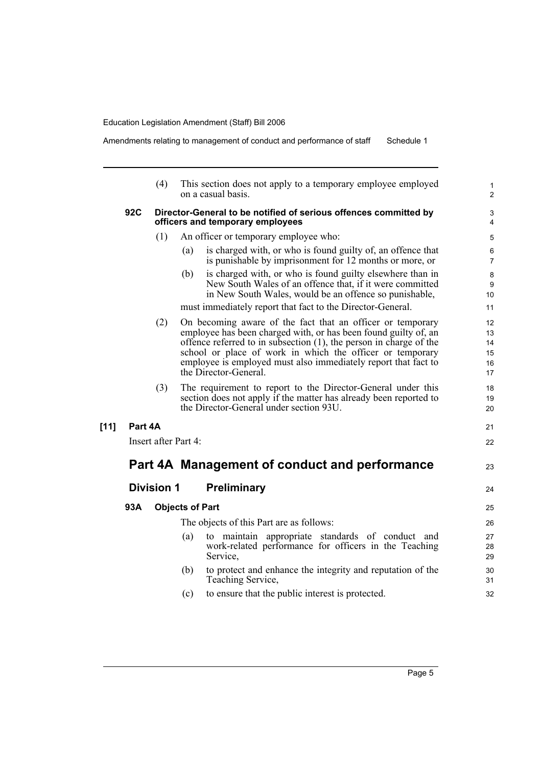$[11]$ 

Amendments relating to management of conduct and performance of staff Schedule 1

|         | (4)                                                                                                                                                                                                                                                                                                                                                                   | This section does not apply to a temporary employee employed<br>on a casual basis.                                                                                                     | $\mathbf{1}$<br>$\overline{2}$ |  |  |  |  |
|---------|-----------------------------------------------------------------------------------------------------------------------------------------------------------------------------------------------------------------------------------------------------------------------------------------------------------------------------------------------------------------------|----------------------------------------------------------------------------------------------------------------------------------------------------------------------------------------|--------------------------------|--|--|--|--|
| 92C     | Director-General to be notified of serious offences committed by<br>officers and temporary employees                                                                                                                                                                                                                                                                  |                                                                                                                                                                                        |                                |  |  |  |  |
|         | (1)                                                                                                                                                                                                                                                                                                                                                                   | An officer or temporary employee who:                                                                                                                                                  | 5                              |  |  |  |  |
|         |                                                                                                                                                                                                                                                                                                                                                                       | is charged with, or who is found guilty of, an offence that<br>(a)<br>is punishable by imprisonment for 12 months or more, or                                                          | 6<br>$\overline{7}$            |  |  |  |  |
|         |                                                                                                                                                                                                                                                                                                                                                                       | is charged with, or who is found guilty elsewhere than in<br>(b)<br>New South Wales of an offence that, if it were committed<br>in New South Wales, would be an offence so punishable, | 8<br>9<br>10                   |  |  |  |  |
|         |                                                                                                                                                                                                                                                                                                                                                                       | must immediately report that fact to the Director-General.                                                                                                                             | 11                             |  |  |  |  |
|         | (2)<br>On becoming aware of the fact that an officer or temporary<br>employee has been charged with, or has been found guilty of, an<br>offence referred to in subsection $(1)$ , the person in charge of the<br>school or place of work in which the officer or temporary<br>employee is employed must also immediately report that fact to<br>the Director-General. |                                                                                                                                                                                        |                                |  |  |  |  |
|         | (3)                                                                                                                                                                                                                                                                                                                                                                   | The requirement to report to the Director-General under this<br>section does not apply if the matter has already been reported to<br>the Director-General under section 93U.           | 18<br>19<br>20                 |  |  |  |  |
| Part 4A |                                                                                                                                                                                                                                                                                                                                                                       |                                                                                                                                                                                        | 21                             |  |  |  |  |
|         | Insert after Part 4:                                                                                                                                                                                                                                                                                                                                                  |                                                                                                                                                                                        | 22                             |  |  |  |  |
|         |                                                                                                                                                                                                                                                                                                                                                                       | Part 4A Management of conduct and performance                                                                                                                                          | 23                             |  |  |  |  |
|         | <b>Division 1</b>                                                                                                                                                                                                                                                                                                                                                     | <b>Preliminary</b>                                                                                                                                                                     | 24                             |  |  |  |  |
| 93A     |                                                                                                                                                                                                                                                                                                                                                                       | <b>Objects of Part</b>                                                                                                                                                                 | 25                             |  |  |  |  |
|         |                                                                                                                                                                                                                                                                                                                                                                       | The objects of this Part are as follows:                                                                                                                                               | 26                             |  |  |  |  |
|         |                                                                                                                                                                                                                                                                                                                                                                       | to maintain appropriate standards of conduct and<br>(a)<br>work-related performance for officers in the Teaching<br>Service,                                                           | 27<br>28<br>29                 |  |  |  |  |
|         |                                                                                                                                                                                                                                                                                                                                                                       | (b)<br>to protect and enhance the integrity and reputation of the<br>Teaching Service,                                                                                                 | 30<br>31                       |  |  |  |  |
|         |                                                                                                                                                                                                                                                                                                                                                                       | to ensure that the public interest is protected.<br>(c)                                                                                                                                | 32                             |  |  |  |  |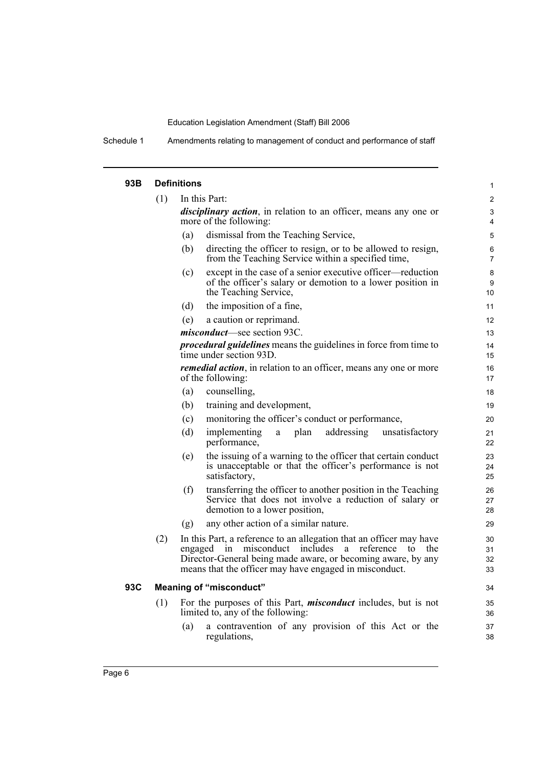Schedule 1 Amendments relating to management of conduct and performance of staff

| 93B | <b>Definitions</b> |                                                                                                                                                                                                                                                                   |                      |  |  |  |  |
|-----|--------------------|-------------------------------------------------------------------------------------------------------------------------------------------------------------------------------------------------------------------------------------------------------------------|----------------------|--|--|--|--|
|     | (1)                | In this Part:                                                                                                                                                                                                                                                     | $\overline{2}$       |  |  |  |  |
|     |                    | <i>disciplinary action</i> , in relation to an officer, means any one or<br>more of the following:                                                                                                                                                                | 3<br>4               |  |  |  |  |
|     |                    | dismissal from the Teaching Service,<br>(a)                                                                                                                                                                                                                       | 5                    |  |  |  |  |
|     |                    | directing the officer to resign, or to be allowed to resign,<br>(b)<br>from the Teaching Service within a specified time,                                                                                                                                         | 6<br>$\overline{7}$  |  |  |  |  |
|     |                    | except in the case of a senior executive officer—reduction<br>(c)<br>of the officer's salary or demotion to a lower position in<br>the Teaching Service,                                                                                                          | 8<br>9<br>10         |  |  |  |  |
|     |                    | the imposition of a fine,<br>(d)                                                                                                                                                                                                                                  | 11                   |  |  |  |  |
|     |                    | a caution or reprimand.<br>(e)                                                                                                                                                                                                                                    | 12                   |  |  |  |  |
|     |                    | misconduct-see section 93C.                                                                                                                                                                                                                                       | 13                   |  |  |  |  |
|     |                    | <i>procedural guidelines</i> means the guidelines in force from time to<br>time under section 93D.                                                                                                                                                                | 14<br>15             |  |  |  |  |
|     |                    | <i>remedial action</i> , in relation to an officer, means any one or more<br>of the following:                                                                                                                                                                    | 16<br>17             |  |  |  |  |
|     |                    | (a)<br>counselling,                                                                                                                                                                                                                                               | 18                   |  |  |  |  |
|     |                    | training and development,<br>(b)                                                                                                                                                                                                                                  | 19                   |  |  |  |  |
|     |                    | monitoring the officer's conduct or performance,<br>(c)                                                                                                                                                                                                           | 20                   |  |  |  |  |
|     |                    | addressing<br>(d)<br>implementing<br>plan<br>unsatisfactory<br>a<br>performance,                                                                                                                                                                                  | 21<br>22             |  |  |  |  |
|     |                    | the issuing of a warning to the officer that certain conduct<br>(e)<br>is unacceptable or that the officer's performance is not<br>satisfactory,                                                                                                                  | 23<br>24<br>25       |  |  |  |  |
|     |                    | transferring the officer to another position in the Teaching<br>(f)<br>Service that does not involve a reduction of salary or<br>demotion to a lower position,                                                                                                    | 26<br>27<br>28       |  |  |  |  |
|     |                    | any other action of a similar nature.<br>(g)                                                                                                                                                                                                                      | 29                   |  |  |  |  |
|     | (2)                | In this Part, a reference to an allegation that an officer may have<br>in misconduct includes<br>reference<br>engaged<br>a<br>to<br>the<br>Director-General being made aware, or becoming aware, by any<br>means that the officer may have engaged in misconduct. | 30<br>31<br>32<br>33 |  |  |  |  |
| 93C |                    | <b>Meaning of "misconduct"</b>                                                                                                                                                                                                                                    | 34                   |  |  |  |  |
|     | (1)                | For the purposes of this Part, <i>misconduct</i> includes, but is not<br>limited to, any of the following:                                                                                                                                                        | 35<br>36             |  |  |  |  |
|     |                    | a contravention of any provision of this Act or the<br>(a)<br>regulations,                                                                                                                                                                                        | 37<br>38             |  |  |  |  |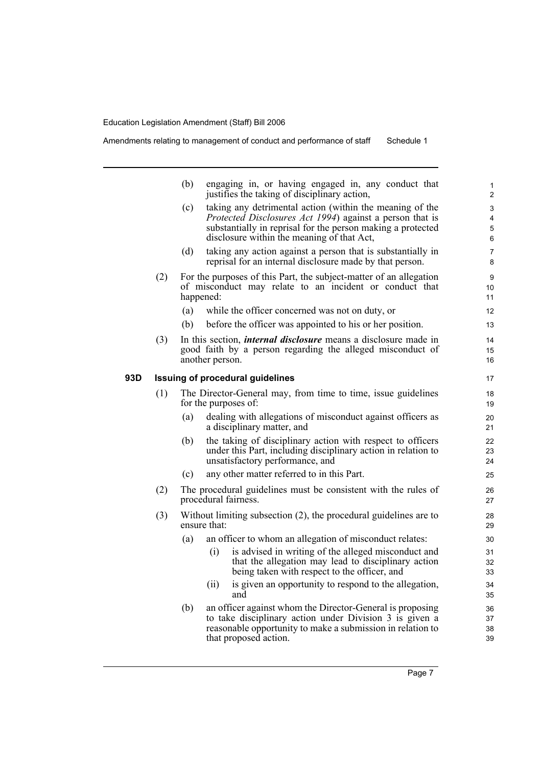Amendments relating to management of conduct and performance of staff Schedule 1

|     |                                         | (b)       | engaging in, or having engaged in, any conduct that<br>justifies the taking of disciplinary action,                                                                                                                                                                                                  | $\mathbf{1}$<br>$\overline{2}$   |  |  |
|-----|-----------------------------------------|-----------|------------------------------------------------------------------------------------------------------------------------------------------------------------------------------------------------------------------------------------------------------------------------------------------------------|----------------------------------|--|--|
|     |                                         | (c)       | taking any detrimental action (within the meaning of the<br>Protected Disclosures Act 1994) against a person that is<br>substantially in reprisal for the person making a protected<br>disclosure within the meaning of that Act,                                                                    | 3<br>4<br>5<br>6                 |  |  |
|     |                                         | (d)       | taking any action against a person that is substantially in<br>reprisal for an internal disclosure made by that person.                                                                                                                                                                              | $\overline{7}$<br>8              |  |  |
|     | (2)                                     | happened: | For the purposes of this Part, the subject-matter of an allegation<br>of misconduct may relate to an incident or conduct that                                                                                                                                                                        | 9<br>10<br>11                    |  |  |
|     |                                         | (a)       | while the officer concerned was not on duty, or                                                                                                                                                                                                                                                      | 12                               |  |  |
|     |                                         | (b)       | before the officer was appointed to his or her position.                                                                                                                                                                                                                                             | 13                               |  |  |
|     | (3)                                     |           | In this section, <i>internal disclosure</i> means a disclosure made in<br>good faith by a person regarding the alleged misconduct of<br>another person.                                                                                                                                              | 14<br>15<br>16                   |  |  |
| 93D | <b>Issuing of procedural guidelines</b> |           |                                                                                                                                                                                                                                                                                                      |                                  |  |  |
|     | (1)                                     |           | The Director-General may, from time to time, issue guidelines<br>for the purposes of:                                                                                                                                                                                                                | 18<br>19                         |  |  |
|     |                                         | (a)       | dealing with allegations of misconduct against officers as<br>a disciplinary matter, and                                                                                                                                                                                                             | 20<br>21                         |  |  |
|     |                                         | (b)       | the taking of disciplinary action with respect to officers<br>under this Part, including disciplinary action in relation to<br>unsatisfactory performance, and                                                                                                                                       | 22<br>23<br>24                   |  |  |
|     |                                         | (c)       | any other matter referred to in this Part.                                                                                                                                                                                                                                                           | 25                               |  |  |
|     | (2)                                     |           | The procedural guidelines must be consistent with the rules of<br>procedural fairness.                                                                                                                                                                                                               | 26<br>27                         |  |  |
|     | (3)                                     |           | Without limiting subsection $(2)$ , the procedural guidelines are to<br>ensure that:                                                                                                                                                                                                                 | 28<br>29                         |  |  |
|     |                                         | (a)       | an officer to whom an allegation of misconduct relates:<br>is advised in writing of the alleged misconduct and<br>(i)<br>that the allegation may lead to disciplinary action<br>being taken with respect to the officer, and<br>is given an opportunity to respond to the allegation,<br>(ii)<br>and | 30<br>31<br>32<br>33<br>34<br>35 |  |  |
|     |                                         | (b)       | an officer against whom the Director-General is proposing<br>to take disciplinary action under Division 3 is given a<br>reasonable opportunity to make a submission in relation to<br>that proposed action.                                                                                          | 36<br>37<br>38<br>39             |  |  |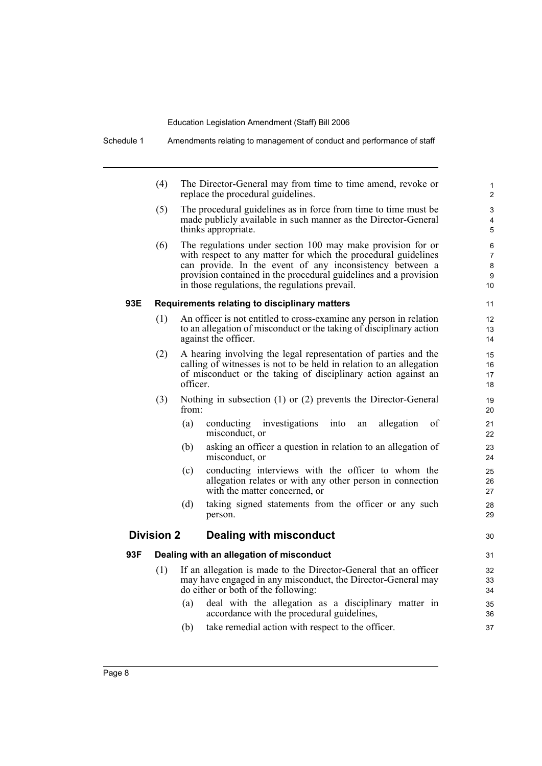(4) The Director-General may from time to time amend, revoke or replace the procedural guidelines.

30

- (5) The procedural guidelines as in force from time to time must be made publicly available in such manner as the Director-General thinks appropriate.
- (6) The regulations under section 100 may make provision for or with respect to any matter for which the procedural guidelines can provide. In the event of any inconsistency between a provision contained in the procedural guidelines and a provision in those regulations, the regulations prevail.

# **93E Requirements relating to disciplinary matters**

- (1) An officer is not entitled to cross-examine any person in relation to an allegation of misconduct or the taking of disciplinary action against the officer.
- (2) A hearing involving the legal representation of parties and the calling of witnesses is not to be held in relation to an allegation of misconduct or the taking of disciplinary action against an officer.
- (3) Nothing in subsection (1) or (2) prevents the Director-General from:
	- (a) conducting investigations into an allegation of misconduct, or
	- (b) asking an officer a question in relation to an allegation of misconduct, or
	- (c) conducting interviews with the officer to whom the allegation relates or with any other person in connection with the matter concerned, or
	- (d) taking signed statements from the officer or any such person.

# **Division 2 Dealing with misconduct**

# **93F Dealing with an allegation of misconduct**

- (1) If an allegation is made to the Director-General that an officer may have engaged in any misconduct, the Director-General may do either or both of the following:
	- (a) deal with the allegation as a disciplinary matter in accordance with the procedural guidelines,
	- (b) take remedial action with respect to the officer.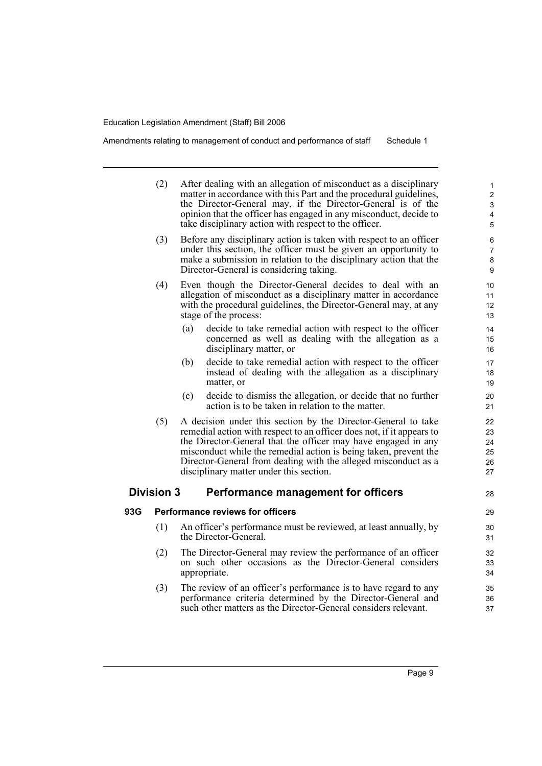Amendments relating to management of conduct and performance of staff Schedule 1

|     | (2)               | After dealing with an allegation of misconduct as a disciplinary<br>matter in accordance with this Part and the procedural guidelines,<br>the Director-General may, if the Director-General is of the<br>opinion that the officer has engaged in any misconduct, decide to<br>take disciplinary action with respect to the officer.                                                      | $\mathbf{1}$<br>$\overline{2}$<br>3<br>4<br>5 |  |  |
|-----|-------------------|------------------------------------------------------------------------------------------------------------------------------------------------------------------------------------------------------------------------------------------------------------------------------------------------------------------------------------------------------------------------------------------|-----------------------------------------------|--|--|
|     | (3)               | Before any disciplinary action is taken with respect to an officer<br>under this section, the officer must be given an opportunity to<br>make a submission in relation to the disciplinary action that the<br>Director-General is considering taking.                                                                                                                                    |                                               |  |  |
|     | (4)               | Even though the Director-General decides to deal with an<br>allegation of misconduct as a disciplinary matter in accordance<br>with the procedural guidelines, the Director-General may, at any<br>stage of the process:                                                                                                                                                                 | 10<br>11<br>12<br>13                          |  |  |
|     |                   | (a)<br>decide to take remedial action with respect to the officer<br>concerned as well as dealing with the allegation as a<br>disciplinary matter, or                                                                                                                                                                                                                                    | 14<br>15<br>16                                |  |  |
|     |                   | decide to take remedial action with respect to the officer<br>(b)<br>instead of dealing with the allegation as a disciplinary<br>matter, or                                                                                                                                                                                                                                              | 17<br>18<br>19                                |  |  |
|     |                   | (c)<br>decide to dismiss the allegation, or decide that no further<br>action is to be taken in relation to the matter.                                                                                                                                                                                                                                                                   | 20<br>21                                      |  |  |
|     | (5)               | A decision under this section by the Director-General to take<br>remedial action with respect to an officer does not, if it appears to<br>the Director-General that the officer may have engaged in any<br>misconduct while the remedial action is being taken, prevent the<br>Director-General from dealing with the alleged misconduct as a<br>disciplinary matter under this section. | 22<br>23<br>24<br>25<br>26<br>27              |  |  |
|     | <b>Division 3</b> | Performance management for officers                                                                                                                                                                                                                                                                                                                                                      | 28                                            |  |  |
| 93G |                   | <b>Performance reviews for officers</b>                                                                                                                                                                                                                                                                                                                                                  | 29                                            |  |  |
|     | (1)               | An officer's performance must be reviewed, at least annually, by<br>the Director-General.                                                                                                                                                                                                                                                                                                | 30<br>31                                      |  |  |
|     | (2)               | The Director-General may review the performance of an officer<br>on such other occasions as the Director-General considers<br>appropriate.                                                                                                                                                                                                                                               | 32<br>33<br>34                                |  |  |
|     | (3)               | The review of an officer's performance is to have regard to any<br>performance criteria determined by the Director-General and<br>such other matters as the Director-General considers relevant.                                                                                                                                                                                         | 35<br>36<br>37                                |  |  |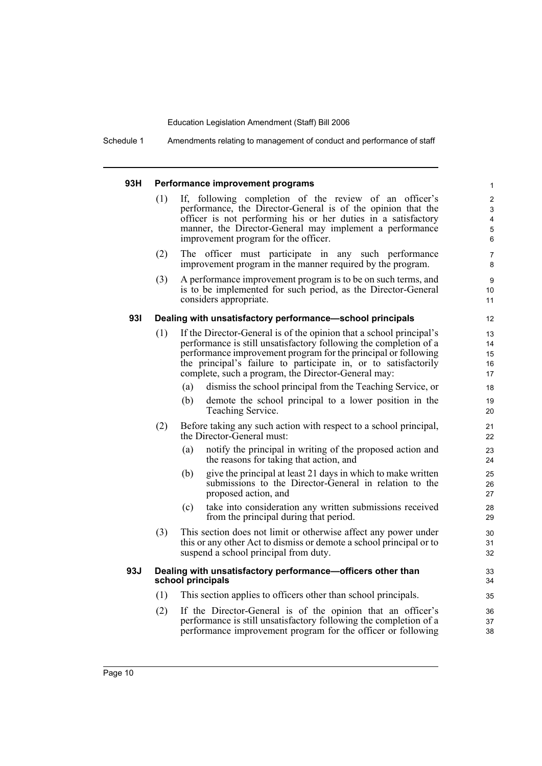Schedule 1 Amendments relating to management of conduct and performance of staff

### **93H Performance improvement programs**

(1) If, following completion of the review of an officer's performance, the Director-General is of the opinion that the officer is not performing his or her duties in a satisfactory manner, the Director-General may implement a performance improvement program for the officer.

- (2) The officer must participate in any such performance improvement program in the manner required by the program.
- (3) A performance improvement program is to be on such terms, and is to be implemented for such period, as the Director-General considers appropriate.

### **93I Dealing with unsatisfactory performance—school principals**

- (1) If the Director-General is of the opinion that a school principal's performance is still unsatisfactory following the completion of a performance improvement program for the principal or following the principal's failure to participate in, or to satisfactorily complete, such a program, the Director-General may:
	- (a) dismiss the school principal from the Teaching Service, or
	- (b) demote the school principal to a lower position in the Teaching Service.
- (2) Before taking any such action with respect to a school principal, the Director-General must:
	- (a) notify the principal in writing of the proposed action and the reasons for taking that action, and
	- (b) give the principal at least 21 days in which to make written submissions to the Director-General in relation to the proposed action, and
	- (c) take into consideration any written submissions received from the principal during that period.
- (3) This section does not limit or otherwise affect any power under this or any other Act to dismiss or demote a school principal or to suspend a school principal from duty.

## **93J Dealing with unsatisfactory performance—officers other than school principals**

- (1) This section applies to officers other than school principals.
- (2) If the Director-General is of the opinion that an officer's performance is still unsatisfactory following the completion of a performance improvement program for the officer or following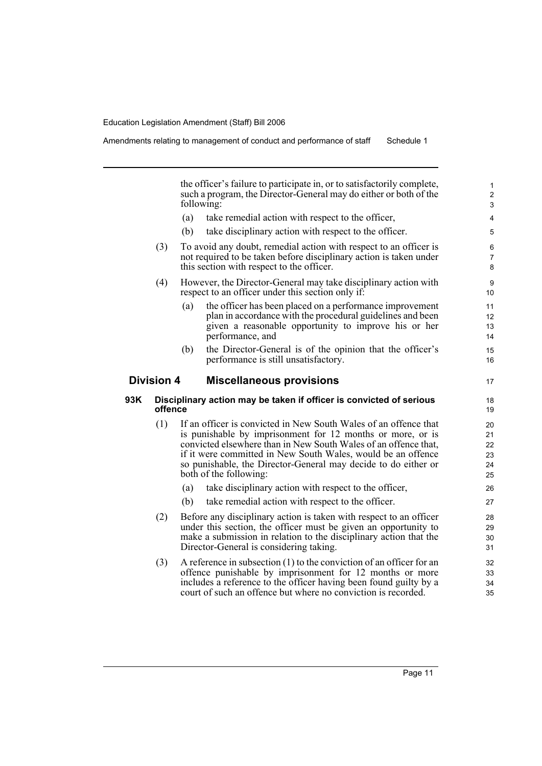Amendments relating to management of conduct and performance of staff Schedule 1

the officer's failure to participate in, or to satisfactorily complete, such a program, the Director-General may do either or both of the following:

- (a) take remedial action with respect to the officer,
- (b) take disciplinary action with respect to the officer.
- (3) To avoid any doubt, remedial action with respect to an officer is not required to be taken before disciplinary action is taken under this section with respect to the officer.
- (4) However, the Director-General may take disciplinary action with respect to an officer under this section only if:
	- (a) the officer has been placed on a performance improvement plan in accordance with the procedural guidelines and been given a reasonable opportunity to improve his or her performance, and
	- (b) the Director-General is of the opinion that the officer's performance is still unsatisfactory.

# **Division 4 Miscellaneous provisions**

# **93K Disciplinary action may be taken if officer is convicted of serious offence**

- (1) If an officer is convicted in New South Wales of an offence that is punishable by imprisonment for 12 months or more, or is convicted elsewhere than in New South Wales of an offence that, if it were committed in New South Wales, would be an offence so punishable, the Director-General may decide to do either or both of the following:
	- (a) take disciplinary action with respect to the officer,
	- (b) take remedial action with respect to the officer.
- (2) Before any disciplinary action is taken with respect to an officer under this section, the officer must be given an opportunity to make a submission in relation to the disciplinary action that the Director-General is considering taking.
- (3) A reference in subsection (1) to the conviction of an officer for an offence punishable by imprisonment for 12 months or more includes a reference to the officer having been found guilty by a court of such an offence but where no conviction is recorded.

17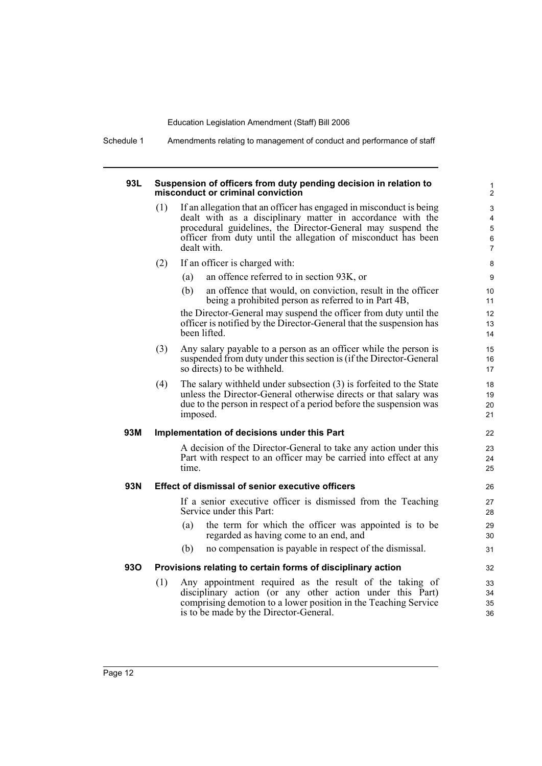Schedule 1 Amendments relating to management of conduct and performance of staff

#### **93L Suspension of officers from duty pending decision in relation to misconduct or criminal conviction**

(1) If an allegation that an officer has engaged in misconduct is being dealt with as a disciplinary matter in accordance with the procedural guidelines, the Director-General may suspend the officer from duty until the allegation of misconduct has been dealt with.

- (2) If an officer is charged with:
	- (a) an offence referred to in section 93K, or
	- (b) an offence that would, on conviction, result in the officer being a prohibited person as referred to in Part 4B,

the Director-General may suspend the officer from duty until the officer is notified by the Director-General that the suspension has been lifted.

- (3) Any salary payable to a person as an officer while the person is suspended from duty under this section is (if the Director-General so directs) to be withheld.
- (4) The salary withheld under subsection (3) is forfeited to the State unless the Director-General otherwise directs or that salary was due to the person in respect of a period before the suspension was imposed.

# **93M Implementation of decisions under this Part**

A decision of the Director-General to take any action under this Part with respect to an officer may be carried into effect at any time.

# **93N Effect of dismissal of senior executive officers**

If a senior executive officer is dismissed from the Teaching Service under this Part:

- (a) the term for which the officer was appointed is to be regarded as having come to an end, and
- (b) no compensation is payable in respect of the dismissal.

# **93O Provisions relating to certain forms of disciplinary action**

(1) Any appointment required as the result of the taking of disciplinary action (or any other action under this Part) comprising demotion to a lower position in the Teaching Service is to be made by the Director-General.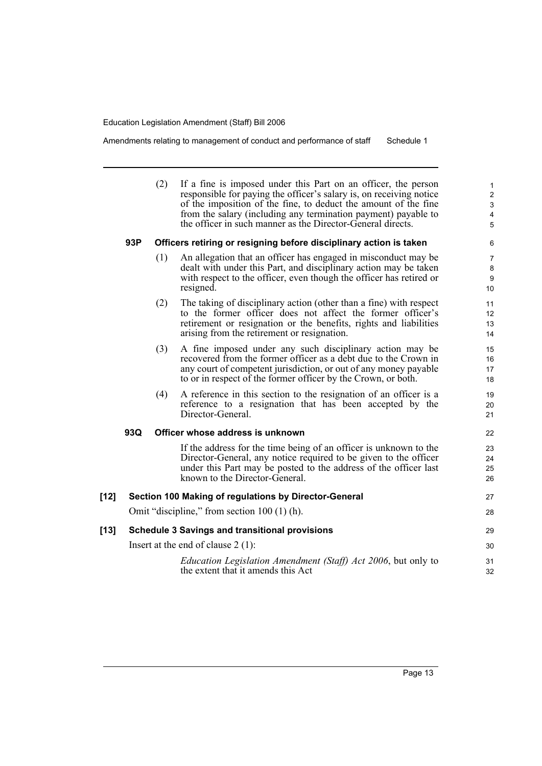Amendments relating to management of conduct and performance of staff Schedule 1

|      |     | (2) | If a fine is imposed under this Part on an officer, the person<br>responsible for paying the officer's salary is, on receiving notice<br>of the imposition of the fine, to deduct the amount of the fine<br>from the salary (including any termination payment) payable to<br>the officer in such manner as the Director-General directs. | 1<br>$\overline{\mathbf{c}}$<br>3<br>4<br>5 |
|------|-----|-----|-------------------------------------------------------------------------------------------------------------------------------------------------------------------------------------------------------------------------------------------------------------------------------------------------------------------------------------------|---------------------------------------------|
|      | 93P |     | Officers retiring or resigning before disciplinary action is taken                                                                                                                                                                                                                                                                        | 6                                           |
|      |     | (1) | An allegation that an officer has engaged in misconduct may be<br>dealt with under this Part, and disciplinary action may be taken<br>with respect to the officer, even though the officer has retired or<br>resigned.                                                                                                                    | 7<br>8<br>9<br>10                           |
|      |     | (2) | The taking of disciplinary action (other than a fine) with respect<br>to the former officer does not affect the former officer's<br>retirement or resignation or the benefits, rights and liabilities<br>arising from the retirement or resignation.                                                                                      | 11<br>12<br>13<br>14                        |
|      |     | (3) | A fine imposed under any such disciplinary action may be<br>recovered from the former officer as a debt due to the Crown in<br>any court of competent jurisdiction, or out of any money payable<br>to or in respect of the former officer by the Crown, or both.                                                                          | 15<br>16<br>17<br>18                        |
|      |     | (4) | A reference in this section to the resignation of an officer is a<br>reference to a resignation that has been accepted by the<br>Director-General.                                                                                                                                                                                        | 19<br>20<br>21                              |
|      | 93Q |     | Officer whose address is unknown                                                                                                                                                                                                                                                                                                          | 22                                          |
|      |     |     | If the address for the time being of an officer is unknown to the<br>Director-General, any notice required to be given to the officer<br>under this Part may be posted to the address of the officer last<br>known to the Director-General.                                                                                               | 23<br>24<br>25<br>26                        |
| [12] |     |     | Section 100 Making of regulations by Director-General                                                                                                                                                                                                                                                                                     | 27                                          |
|      |     |     | Omit "discipline," from section 100 (1) (h).                                                                                                                                                                                                                                                                                              | 28                                          |
| [13] |     |     | <b>Schedule 3 Savings and transitional provisions</b>                                                                                                                                                                                                                                                                                     | 29                                          |
|      |     |     | Insert at the end of clause $2(1)$ :                                                                                                                                                                                                                                                                                                      | 30                                          |
|      |     |     | <i>Education Legislation Amendment (Staff) Act 2006, but only to</i><br>the extent that it amends this Act                                                                                                                                                                                                                                | 31<br>32                                    |
|      |     |     |                                                                                                                                                                                                                                                                                                                                           |                                             |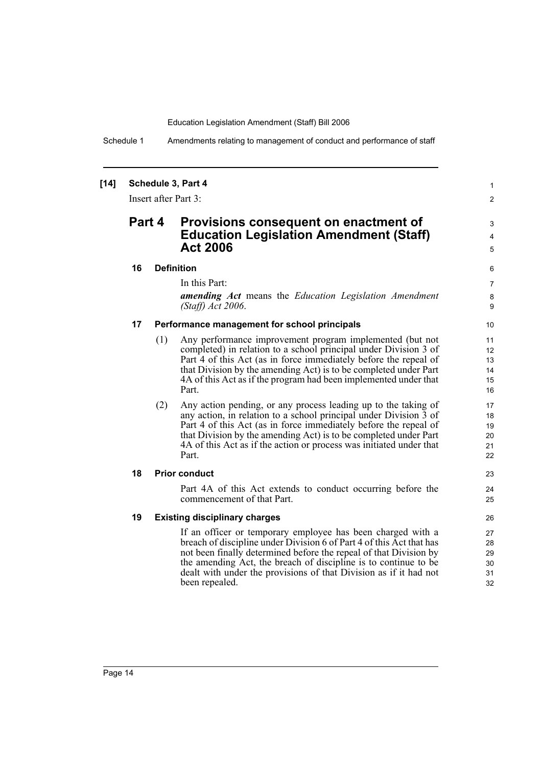Schedule 1 Amendments relating to management of conduct and performance of staff

# **[14] Schedule 3, Part 4**

Insert after Part 3:

# **Part 4 Provisions consequent on enactment of Education Legislation Amendment (Staff) Act 2006**

# **16 Definition**

In this Part:

*amending Act* means the *Education Legislation Amendment (Staff) Act 2006*.

1 2

3 4 5

23  $24$ 25

# **17 Performance management for school principals**

- (1) Any performance improvement program implemented (but not completed) in relation to a school principal under Division 3 of Part 4 of this Act (as in force immediately before the repeal of that Division by the amending Act) is to be completed under Part 4A of this Act as if the program had been implemented under that Part.
- (2) Any action pending, or any process leading up to the taking of any action, in relation to a school principal under Division 3 of Part 4 of this Act (as in force immediately before the repeal of that Division by the amending Act) is to be completed under Part 4A of this Act as if the action or process was initiated under that Part.

# **18 Prior conduct**

Part 4A of this Act extends to conduct occurring before the commencement of that Part.

# **19 Existing disciplinary charges**

If an officer or temporary employee has been charged with a breach of discipline under Division 6 of Part 4 of this Act that has not been finally determined before the repeal of that Division by the amending Act, the breach of discipline is to continue to be dealt with under the provisions of that Division as if it had not been repealed.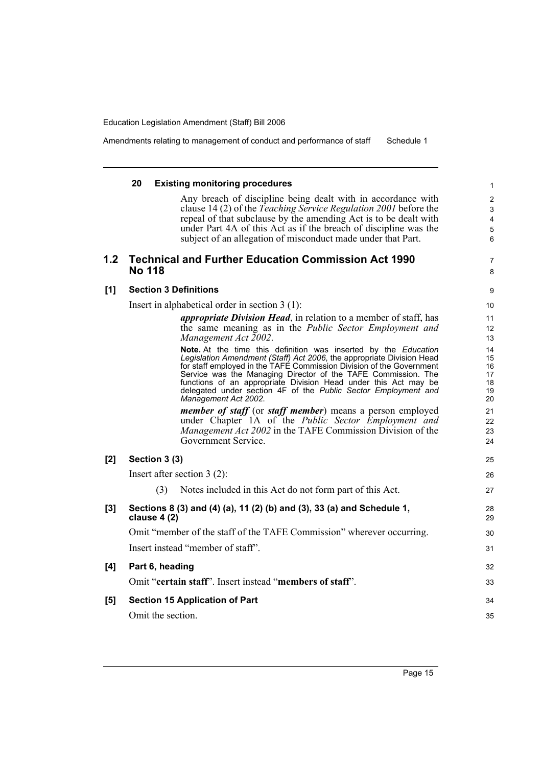Amendments relating to management of conduct and performance of staff Schedule 1

# **20 Existing monitoring procedures**

Any breach of discipline being dealt with in accordance with clause 14 (2) of the *Teaching Service Regulation 2001* before the repeal of that subclause by the amending Act is to be dealt with under Part 4A of this Act as if the breach of discipline was the subject of an allegation of misconduct made under that Part.

# **1.2 Technical and Further Education Commission Act 1990 No 118**

7 8 9

# **[1] Section 3 Definitions**

Insert in alphabetical order in section 3 (1):

*appropriate Division Head*, in relation to a member of staff, has the same meaning as in the *Public Sector Employment and Management Act 2002*.

**Note.** At the time this definition was inserted by the *Education Legislation Amendment (Staff) Act 2006*, the appropriate Division Head for staff employed in the TAFE Commission Division of the Government Service was the Managing Director of the TAFE Commission. The functions of an appropriate Division Head under this Act may be delegated under section 4F of the *Public Sector Employment and Management Act 2002*.

*member of staff* (or *staff member*) means a person employed under Chapter 1A of the *Public Sector Employment and Management Act 2002* in the TAFE Commission Division of the Government Service.

| [2]   | Section 3 (3)                                                                          | 25       |
|-------|----------------------------------------------------------------------------------------|----------|
|       | Insert after section $3(2)$ :                                                          | 26       |
|       | Notes included in this Act do not form part of this Act.<br>(3)                        | 27       |
| $[3]$ | Sections 8 (3) and (4) (a), 11 (2) (b) and (3), 33 (a) and Schedule 1,<br>clause 4 (2) | 28<br>29 |
|       | Omit "member of the staff of the TAFE Commission" wherever occurring.                  | 30       |
|       | Insert instead "member of staff".                                                      | 31       |
| [4]   | Part 6, heading                                                                        | 32       |
|       | Omit "certain staff". Insert instead "members of staff".                               | 33       |
| [5]   | <b>Section 15 Application of Part</b>                                                  | 34       |
|       | Omit the section.                                                                      | 35       |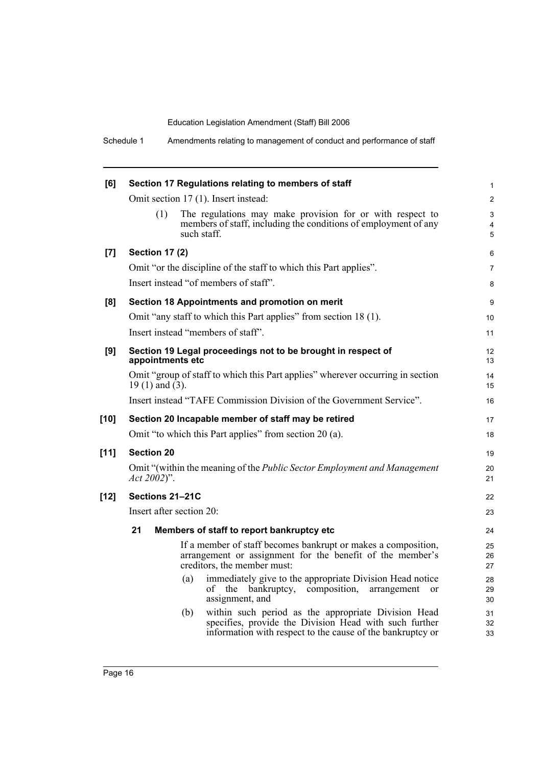| [6]    | Section 17 Regulations relating to members of staff                                                                                                                                | $\mathbf{1}$   |
|--------|------------------------------------------------------------------------------------------------------------------------------------------------------------------------------------|----------------|
|        | Omit section 17 (1). Insert instead:                                                                                                                                               | 2              |
|        | The regulations may make provision for or with respect to<br>(1)<br>members of staff, including the conditions of employment of any<br>such staff.                                 | 3<br>4<br>5    |
| [7]    | <b>Section 17 (2)</b>                                                                                                                                                              | 6              |
|        | Omit "or the discipline of the staff to which this Part applies".                                                                                                                  | $\overline{7}$ |
|        | Insert instead "of members of staff".                                                                                                                                              | 8              |
| [8]    | Section 18 Appointments and promotion on merit                                                                                                                                     | 9              |
|        | Omit "any staff to which this Part applies" from section 18 (1).                                                                                                                   | 10             |
|        | Insert instead "members of staff".                                                                                                                                                 | 11             |
| [9]    | Section 19 Legal proceedings not to be brought in respect of<br>appointments etc                                                                                                   | 12<br>13       |
|        | Omit "group of staff to which this Part applies" wherever occurring in section<br>19 $(1)$ and $(3)$ .                                                                             | 14<br>15       |
|        | Insert instead "TAFE Commission Division of the Government Service".                                                                                                               | 16             |
| $[10]$ | Section 20 Incapable member of staff may be retired                                                                                                                                | 17             |
|        | Omit "to which this Part applies" from section 20 (a).                                                                                                                             | 18             |
| $[11]$ | <b>Section 20</b>                                                                                                                                                                  | 19             |
|        | Omit "(within the meaning of the <i>Public Sector Employment and Management</i><br>$Act 2002)$ ".                                                                                  | 20<br>21       |
| $[12]$ | Sections 21-21C                                                                                                                                                                    | 22             |
|        | Insert after section 20:                                                                                                                                                           | 23             |
|        | 21<br>Members of staff to report bankruptcy etc                                                                                                                                    | 24             |
|        | If a member of staff becomes bankrupt or makes a composition,<br>arrangement or assignment for the benefit of the member's<br>creditors, the member must:                          | 25<br>26<br>27 |
|        | immediately give to the appropriate Division Head notice<br>(a)<br>the<br>bankruptcy,<br>composition,<br>οf<br>arrangement<br><sub>or</sub><br>assignment, and                     | 28<br>29<br>30 |
|        | within such period as the appropriate Division Head<br>(b)<br>specifies, provide the Division Head with such further<br>information with respect to the cause of the bankruptcy or | 31<br>32<br>33 |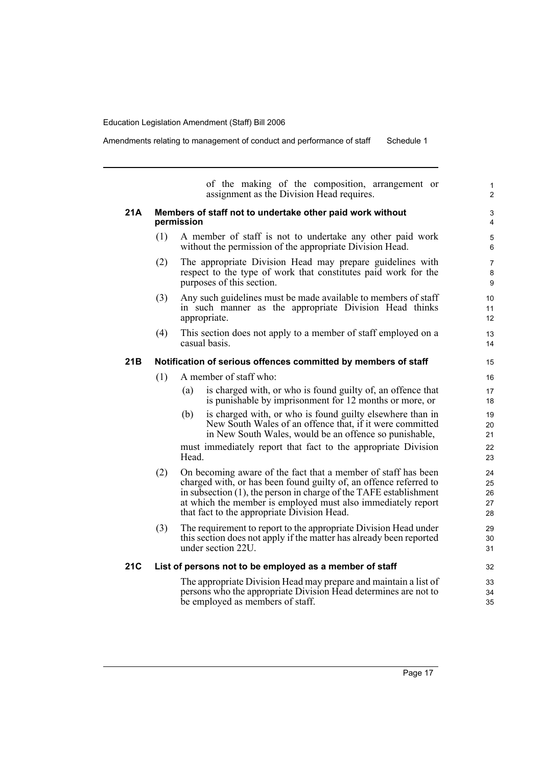Amendments relating to management of conduct and performance of staff Schedule 1

of the making of the composition, arrangement or assignment as the Division Head requires. **21A Members of staff not to undertake other paid work without permission** (1) A member of staff is not to undertake any other paid work without the permission of the appropriate Division Head. (2) The appropriate Division Head may prepare guidelines with respect to the type of work that constitutes paid work for the purposes of this section. (3) Any such guidelines must be made available to members of staff in such manner as the appropriate Division Head thinks appropriate. (4) This section does not apply to a member of staff employed on a casual basis. **21B Notification of serious offences committed by members of staff** (1) A member of staff who: (a) is charged with, or who is found guilty of, an offence that is punishable by imprisonment for 12 months or more, or (b) is charged with, or who is found guilty elsewhere than in New South Wales of an offence that, if it were committed in New South Wales, would be an offence so punishable, must immediately report that fact to the appropriate Division Head. (2) On becoming aware of the fact that a member of staff has been charged with, or has been found guilty of, an offence referred to in subsection (1), the person in charge of the TAFE establishment at which the member is employed must also immediately report that fact to the appropriate Division Head. (3) The requirement to report to the appropriate Division Head under this section does not apply if the matter has already been reported under section 22U. **21C List of persons not to be employed as a member of staff** The appropriate Division Head may prepare and maintain a list of persons who the appropriate Division Head determines are not to 1  $\overline{2}$ 3 4 5 6 7 8 9  $10$ 11 12 13 14 15 16 17 18 19 20 21 22 23 24 25 26 27 28 29 30 31 32 33 34

be employed as members of staff.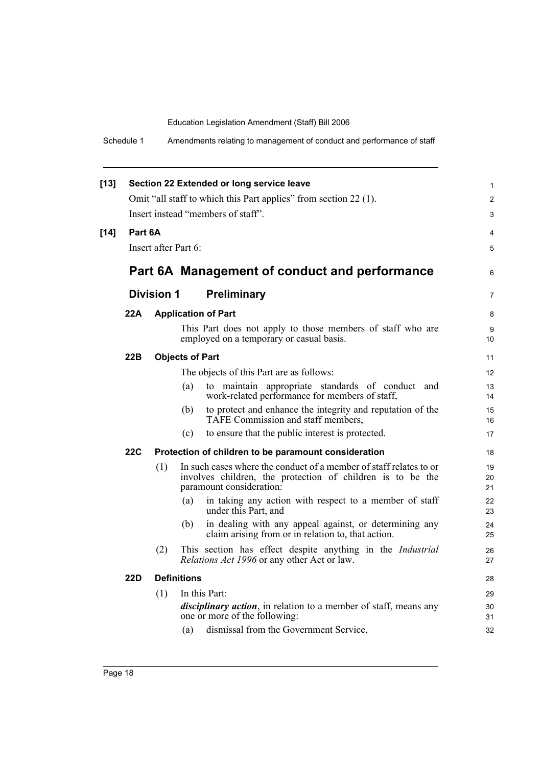Schedule 1 Amendments relating to management of conduct and performance of staff

| $[13]$ |            |                      |                        | Section 22 Extended or long service leave                                                                                                                            | 1                    |
|--------|------------|----------------------|------------------------|----------------------------------------------------------------------------------------------------------------------------------------------------------------------|----------------------|
|        |            |                      |                        | Omit "all staff to which this Part applies" from section 22 (1).                                                                                                     | 2                    |
|        |            |                      |                        | Insert instead "members of staff".                                                                                                                                   | 3                    |
| $[14]$ | Part 6A    |                      |                        |                                                                                                                                                                      | 4                    |
|        |            | Insert after Part 6: |                        |                                                                                                                                                                      | 5                    |
|        |            |                      |                        | Part 6A Management of conduct and performance                                                                                                                        | 6                    |
|        |            | <b>Division 1</b>    |                        | <b>Preliminary</b>                                                                                                                                                   | $\overline{7}$       |
|        | 22A        |                      |                        | <b>Application of Part</b>                                                                                                                                           | 8                    |
|        |            |                      |                        | This Part does not apply to those members of staff who are<br>employed on a temporary or casual basis.                                                               | 9<br>10              |
|        | 22B        |                      | <b>Objects of Part</b> |                                                                                                                                                                      | 11                   |
|        |            |                      |                        | The objects of this Part are as follows:                                                                                                                             | 12                   |
|        |            |                      | (a)                    | to maintain appropriate standards of conduct and<br>work-related performance for members of staff,                                                                   | 13<br>14             |
|        |            |                      | (b)                    | to protect and enhance the integrity and reputation of the<br>TAFE Commission and staff members,                                                                     | 15<br>16             |
|        |            |                      | (c)                    | to ensure that the public interest is protected.                                                                                                                     | 17                   |
|        | <b>22C</b> |                      |                        | Protection of children to be paramount consideration                                                                                                                 | 18                   |
|        |            | (1)                  |                        | In such cases where the conduct of a member of staff relates to or<br>involves children, the protection of children is to be the<br>paramount consideration:         | 19<br>20<br>21       |
|        |            |                      | (a)                    | in taking any action with respect to a member of staff<br>under this Part, and                                                                                       | 22<br>23             |
|        |            |                      | (b)                    | in dealing with any appeal against, or determining any<br>claim arising from or in relation to, that action.                                                         | 24<br>25             |
|        |            | (2)                  |                        | This section has effect despite anything in the Industrial<br>Relations Act 1996 or any other Act or law.                                                            | 26<br>27             |
|        | 22D        |                      | <b>Definitions</b>     |                                                                                                                                                                      | 28                   |
|        |            | (1)                  | (a)                    | In this Part:<br><i>disciplinary action</i> , in relation to a member of staff, means any<br>one or more of the following:<br>dismissal from the Government Service, | 29<br>30<br>31<br>32 |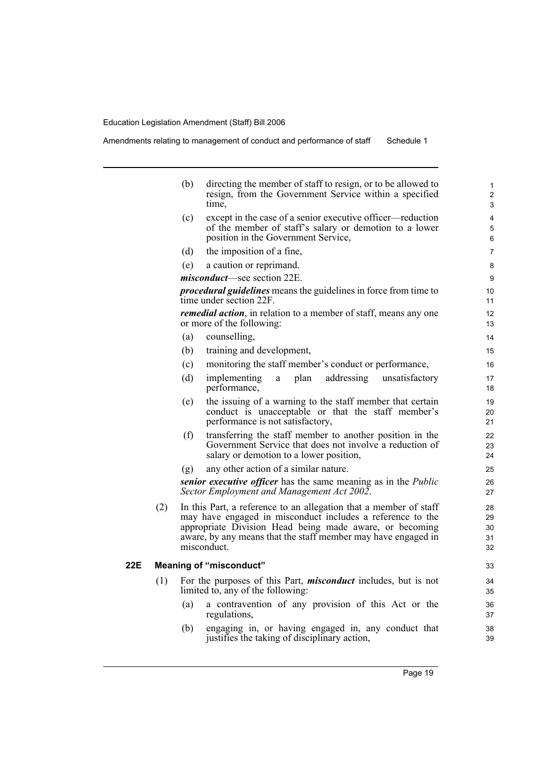|     |     | (b) | directing the member of staff to resign, or to be allowed to<br>resign, from the Government Service within a specified<br>time.                                                                                                                                            | $\mathbf{1}$<br>2<br>3     |
|-----|-----|-----|----------------------------------------------------------------------------------------------------------------------------------------------------------------------------------------------------------------------------------------------------------------------------|----------------------------|
|     |     | (c) | except in the case of a senior executive officer—reduction<br>of the member of staff's salary or demotion to a lower<br>position in the Government Service,                                                                                                                | 4<br>5<br>6                |
|     |     | (d) | the imposition of a fine,                                                                                                                                                                                                                                                  | $\overline{7}$             |
|     |     | (e) | a caution or reprimand.                                                                                                                                                                                                                                                    | 8                          |
|     |     |     | <i>misconduct</i> —see section 22E.                                                                                                                                                                                                                                        | 9                          |
|     |     |     | <i>procedural guidelines</i> means the guidelines in force from time to<br>time under section 22F.                                                                                                                                                                         | 10<br>11                   |
|     |     |     | remedial action, in relation to a member of staff, means any one<br>or more of the following:                                                                                                                                                                              | 12<br>13                   |
|     |     | (a) | counselling,                                                                                                                                                                                                                                                               | 14                         |
|     |     | (b) | training and development,                                                                                                                                                                                                                                                  | 15                         |
|     |     | (c) | monitoring the staff member's conduct or performance,                                                                                                                                                                                                                      | 16                         |
|     |     | (d) | addressing<br>implementing<br>plan<br>unsatisfactory<br>$\mathbf{a}$<br>performance,                                                                                                                                                                                       | 17<br>18                   |
|     |     | (e) | the issuing of a warning to the staff member that certain<br>conduct is unacceptable or that the staff member's<br>performance is not satisfactory,                                                                                                                        | 19<br>20<br>21             |
|     |     | (f) | transferring the staff member to another position in the<br>Government Service that does not involve a reduction of<br>salary or demotion to a lower position,                                                                                                             | 22<br>23<br>24             |
|     |     | (g) | any other action of a similar nature.                                                                                                                                                                                                                                      | 25                         |
|     |     |     | senior executive officer has the same meaning as in the <i>Public</i><br>Sector Employment and Management Act 2002.                                                                                                                                                        | 26<br>27                   |
|     | (2) |     | In this Part, a reference to an allegation that a member of staff<br>may have engaged in misconduct includes a reference to the<br>appropriate Division Head being made aware, or becoming<br>aware, by any means that the staff member may have engaged in<br>misconduct. | 28<br>29<br>30<br>31<br>32 |
| 22E |     |     | <b>Meaning of "misconduct"</b>                                                                                                                                                                                                                                             | 33                         |
|     | (1) |     | For the purposes of this Part, <i>misconduct</i> includes, but is not<br>limited to, any of the following:                                                                                                                                                                 | 34<br>35                   |
|     |     | (a) | a contravention of any provision of this Act or the<br>regulations,                                                                                                                                                                                                        | 36<br>37                   |
|     |     | (b) | engaging in, or having engaged in, any conduct that<br>justifies the taking of disciplinary action,                                                                                                                                                                        | 38<br>39                   |

Page 19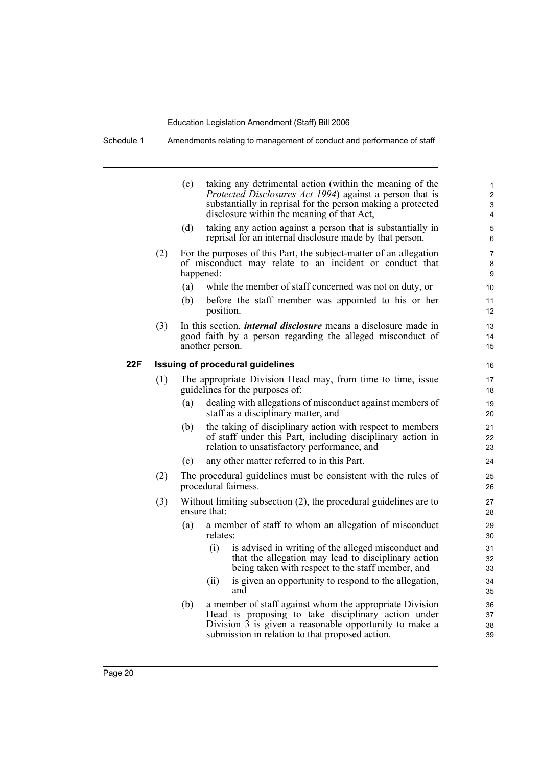Schedule 1 Amendments relating to management of conduct and performance of staff

|     |     | (c)       |                                            | taking any detrimental action (within the meaning of the<br><i>Protected Disclosures Act 1994</i> ) against a person that is<br>substantially in reprisal for the person making a protected<br>disclosure within the meaning of that Act, | 1<br>2<br>3<br>4         |
|-----|-----|-----------|--------------------------------------------|-------------------------------------------------------------------------------------------------------------------------------------------------------------------------------------------------------------------------------------------|--------------------------|
|     |     | (d)       |                                            | taking any action against a person that is substantially in<br>reprisal for an internal disclosure made by that person.                                                                                                                   | 5<br>6                   |
|     | (2) | happened: |                                            | For the purposes of this Part, the subject-matter of an allegation<br>of misconduct may relate to an incident or conduct that                                                                                                             | $\overline{7}$<br>8<br>9 |
|     |     | (a)       |                                            | while the member of staff concerned was not on duty, or                                                                                                                                                                                   | 10                       |
|     |     | (b)       | position.                                  | before the staff member was appointed to his or her                                                                                                                                                                                       | 11<br>12                 |
|     | (3) |           | another person.                            | In this section, <i>internal disclosure</i> means a disclosure made in<br>good faith by a person regarding the alleged misconduct of                                                                                                      | 13<br>14<br>15           |
| 22F |     |           | <b>Issuing of procedural guidelines</b>    |                                                                                                                                                                                                                                           | 16                       |
|     | (1) |           | guidelines for the purposes of:            | The appropriate Division Head may, from time to time, issue                                                                                                                                                                               | 17<br>18                 |
|     |     | (a)       | staff as a disciplinary matter, and        | dealing with allegations of misconduct against members of                                                                                                                                                                                 | 19<br>20                 |
|     |     | (b)       |                                            | the taking of disciplinary action with respect to members<br>of staff under this Part, including disciplinary action in<br>relation to unsatisfactory performance, and                                                                    | 21<br>22<br>23           |
|     |     | (c)       | any other matter referred to in this Part. |                                                                                                                                                                                                                                           | 24                       |
|     | (2) |           | procedural fairness.                       | The procedural guidelines must be consistent with the rules of                                                                                                                                                                            | 25<br>26                 |
|     | (3) |           | ensure that:                               | Without limiting subsection $(2)$ , the procedural guidelines are to                                                                                                                                                                      | 27<br>28                 |
|     |     | (a)       | relates:                                   | a member of staff to whom an allegation of misconduct                                                                                                                                                                                     | 29<br>30                 |
|     |     |           | (i)                                        | is advised in writing of the alleged misconduct and<br>that the allegation may lead to disciplinary action<br>being taken with respect to the staff member, and                                                                           | 31<br>32<br>33           |
|     |     |           | (ii)<br>and                                | is given an opportunity to respond to the allegation,                                                                                                                                                                                     | 34<br>35                 |
|     |     | (b)       |                                            | a member of staff against whom the appropriate Division<br>Head is proposing to take disciplinary action under<br>Division $\overline{3}$ is given a reasonable opportunity to make a<br>submission in relation to that proposed action.  | 36<br>37<br>38<br>39     |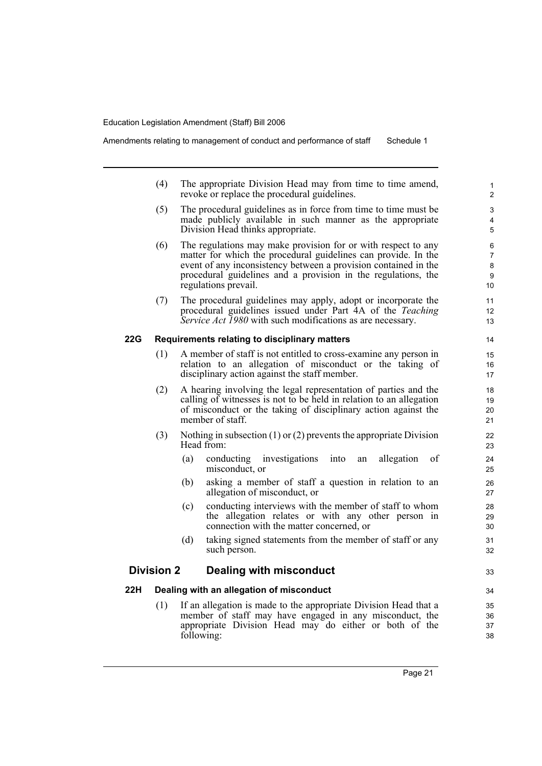- (4) The appropriate Division Head may from time to time amend, revoke or replace the procedural guidelines.
- (5) The procedural guidelines as in force from time to time must be made publicly available in such manner as the appropriate Division Head thinks appropriate.
- (6) The regulations may make provision for or with respect to any matter for which the procedural guidelines can provide. In the event of any inconsistency between a provision contained in the procedural guidelines and a provision in the regulations, the regulations prevail.
- (7) The procedural guidelines may apply, adopt or incorporate the procedural guidelines issued under Part 4A of the *Teaching Service Act 1980* with such modifications as are necessary.

# **22G Requirements relating to disciplinary matters**

- (1) A member of staff is not entitled to cross-examine any person in relation to an allegation of misconduct or the taking of disciplinary action against the staff member.
- (2) A hearing involving the legal representation of parties and the calling of witnesses is not to be held in relation to an allegation of misconduct or the taking of disciplinary action against the member of staff.
- (3) Nothing in subsection (1) or (2) prevents the appropriate Division Head from:
	- (a) conducting investigations into an allegation of misconduct, or
	- (b) asking a member of staff a question in relation to an allegation of misconduct, or
	- (c) conducting interviews with the member of staff to whom the allegation relates or with any other person in connection with the matter concerned, or
	- (d) taking signed statements from the member of staff or any such person.

# **Division 2 Dealing with misconduct**

#### **22H Dealing with an allegation of misconduct**

(1) If an allegation is made to the appropriate Division Head that a member of staff may have engaged in any misconduct, the appropriate Division Head may do either or both of the following:

33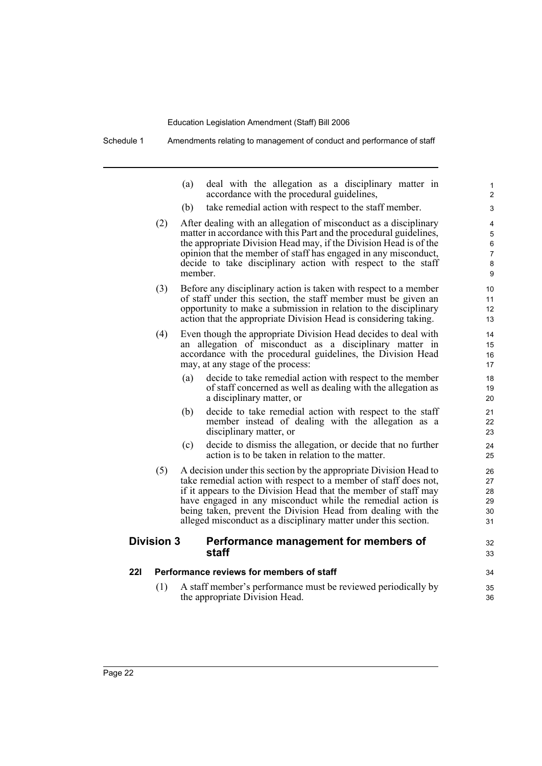|            |                   | (a)     | deal with the allegation as a disciplinary matter in<br>accordance with the procedural guidelines,                                                                                                                                                                                                                                                                                                         | 1<br>$\overline{c}$                     |
|------------|-------------------|---------|------------------------------------------------------------------------------------------------------------------------------------------------------------------------------------------------------------------------------------------------------------------------------------------------------------------------------------------------------------------------------------------------------------|-----------------------------------------|
|            |                   | (b)     | take remedial action with respect to the staff member.                                                                                                                                                                                                                                                                                                                                                     | 3                                       |
|            | (2)               | member. | After dealing with an allegation of misconduct as a disciplinary<br>matter in accordance with this Part and the procedural guidelines,<br>the appropriate Division Head may, if the Division Head is of the<br>opinion that the member of staff has engaged in any misconduct,<br>decide to take disciplinary action with respect to the staff                                                             | 4<br>5<br>6<br>$\overline{7}$<br>8<br>9 |
|            | (3)               |         | Before any disciplinary action is taken with respect to a member<br>of staff under this section, the staff member must be given an<br>opportunity to make a submission in relation to the disciplinary<br>action that the appropriate Division Head is considering taking.                                                                                                                                 | 10<br>11<br>12<br>13                    |
|            | (4)               |         | Even though the appropriate Division Head decides to deal with<br>an allegation of misconduct as a disciplinary matter in<br>accordance with the procedural guidelines, the Division Head<br>may, at any stage of the process:                                                                                                                                                                             | 14<br>15<br>16<br>17                    |
|            |                   | (a)     | decide to take remedial action with respect to the member<br>of staff concerned as well as dealing with the allegation as<br>a disciplinary matter, or                                                                                                                                                                                                                                                     | 18<br>19<br>20                          |
|            |                   | (b)     | decide to take remedial action with respect to the staff<br>member instead of dealing with the allegation as a<br>disciplinary matter, or                                                                                                                                                                                                                                                                  | 21<br>22<br>23                          |
|            |                   | (c)     | decide to dismiss the allegation, or decide that no further<br>action is to be taken in relation to the matter.                                                                                                                                                                                                                                                                                            | 24<br>25                                |
|            | (5)               |         | A decision under this section by the appropriate Division Head to<br>take remedial action with respect to a member of staff does not,<br>if it appears to the Division Head that the member of staff may<br>have engaged in any misconduct while the remedial action is<br>being taken, prevent the Division Head from dealing with the<br>alleged misconduct as a disciplinary matter under this section. | 26<br>27<br>28<br>29<br>30<br>31        |
|            | <b>Division 3</b> |         | Performance management for members of<br>staff                                                                                                                                                                                                                                                                                                                                                             | 32<br>33                                |
| <b>221</b> |                   |         | Performance reviews for members of staff                                                                                                                                                                                                                                                                                                                                                                   | 34                                      |
|            | (1)               |         | A staff member's performance must be reviewed periodically by<br>the appropriate Division Head.                                                                                                                                                                                                                                                                                                            | 35<br>36                                |
|            |                   |         |                                                                                                                                                                                                                                                                                                                                                                                                            |                                         |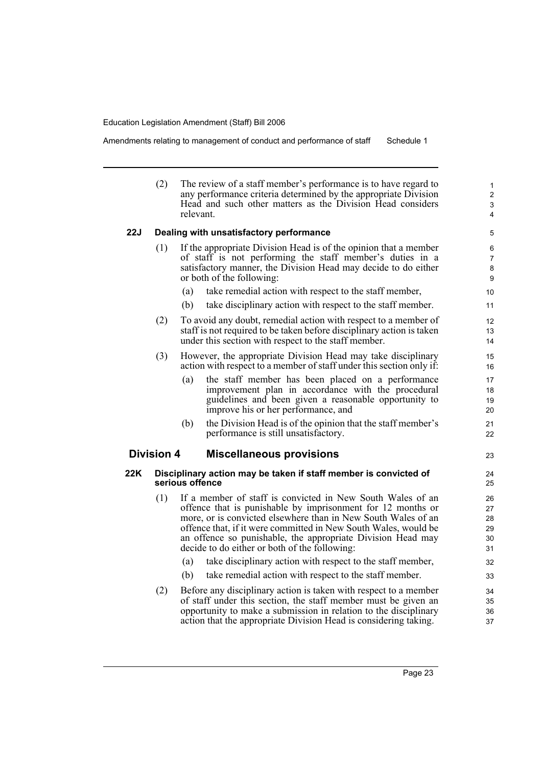Amendments relating to management of conduct and performance of staff Schedule 1

(2) The review of a staff member's performance is to have regard to any performance criteria determined by the appropriate Division Head and such other matters as the Division Head considers relevant.

# **22J Dealing with unsatisfactory performance**

- (1) If the appropriate Division Head is of the opinion that a member of staff is not performing the staff member's duties in a satisfactory manner, the Division Head may decide to do either or both of the following:
	- (a) take remedial action with respect to the staff member,
	- (b) take disciplinary action with respect to the staff member.
- (2) To avoid any doubt, remedial action with respect to a member of staff is not required to be taken before disciplinary action is taken under this section with respect to the staff member.
- (3) However, the appropriate Division Head may take disciplinary action with respect to a member of staff under this section only if:
	- (a) the staff member has been placed on a performance improvement plan in accordance with the procedural guidelines and been given a reasonable opportunity to improve his or her performance, and
	- (b) the Division Head is of the opinion that the staff member's performance is still unsatisfactory.

# **Division 4 Miscellaneous provisions**

# **22K Disciplinary action may be taken if staff member is convicted of serious offence**

- (1) If a member of staff is convicted in New South Wales of an offence that is punishable by imprisonment for 12 months or more, or is convicted elsewhere than in New South Wales of an offence that, if it were committed in New South Wales, would be an offence so punishable, the appropriate Division Head may decide to do either or both of the following:
	- (a) take disciplinary action with respect to the staff member,
	- (b) take remedial action with respect to the staff member.
- (2) Before any disciplinary action is taken with respect to a member of staff under this section, the staff member must be given an opportunity to make a submission in relation to the disciplinary action that the appropriate Division Head is considering taking.

23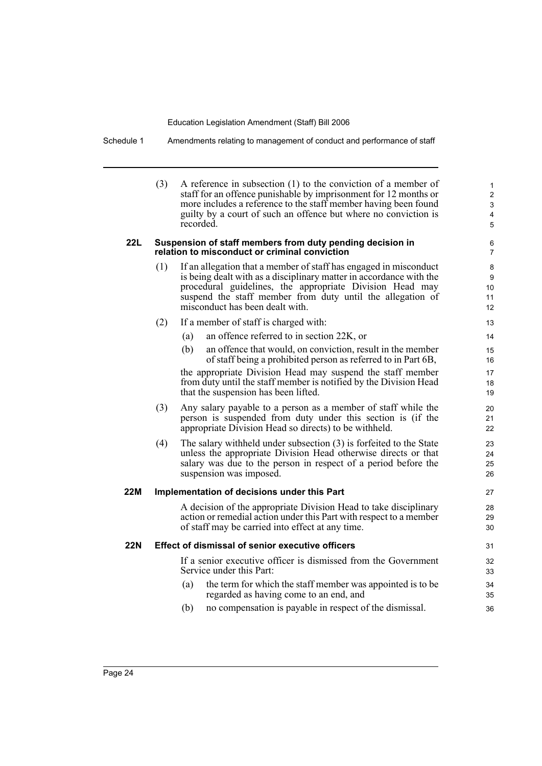Schedule 1 Amendments relating to management of conduct and performance of staff

(3) A reference in subsection (1) to the conviction of a member of staff for an offence punishable by imprisonment for 12 months or more includes a reference to the staff member having been found guilty by a court of such an offence but where no conviction is recorded.

#### **22L Suspension of staff members from duty pending decision in relation to misconduct or criminal conviction**

- (1) If an allegation that a member of staff has engaged in misconduct is being dealt with as a disciplinary matter in accordance with the procedural guidelines, the appropriate Division Head may suspend the staff member from duty until the allegation of misconduct has been dealt with.
- (2) If a member of staff is charged with:
	- (a) an offence referred to in section 22K, or
	- (b) an offence that would, on conviction, result in the member of staff being a prohibited person as referred to in Part 6B,

the appropriate Division Head may suspend the staff member from duty until the staff member is notified by the Division Head that the suspension has been lifted.

- (3) Any salary payable to a person as a member of staff while the person is suspended from duty under this section is (if the appropriate Division Head so directs) to be withheld.
- (4) The salary withheld under subsection (3) is forfeited to the State unless the appropriate Division Head otherwise directs or that salary was due to the person in respect of a period before the suspension was imposed.

# **22M Implementation of decisions under this Part**

A decision of the appropriate Division Head to take disciplinary action or remedial action under this Part with respect to a member of staff may be carried into effect at any time.

# **22N Effect of dismissal of senior executive officers**

If a senior executive officer is dismissed from the Government Service under this Part:

- (a) the term for which the staff member was appointed is to be regarded as having come to an end, and
- (b) no compensation is payable in respect of the dismissal.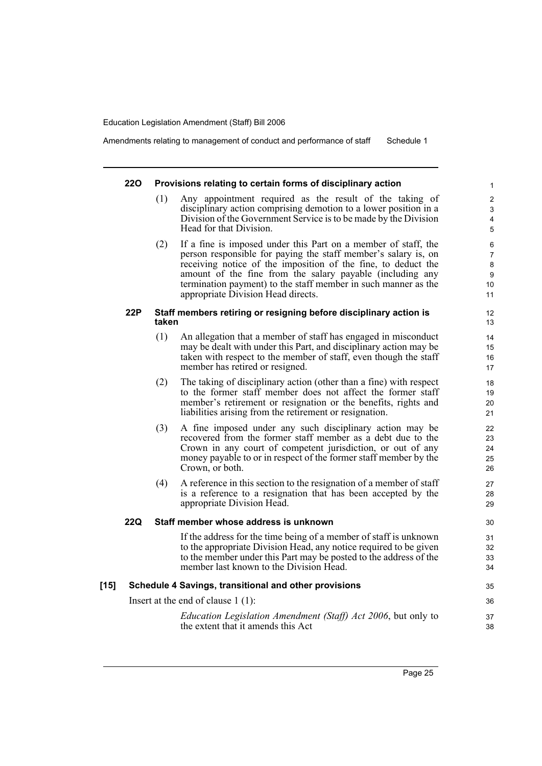Amendments relating to management of conduct and performance of staff Schedule 1

# **22O Provisions relating to certain forms of disciplinary action**

- (1) Any appointment required as the result of the taking of disciplinary action comprising demotion to a lower position in a Division of the Government Service is to be made by the Division Head for that Division.
- (2) If a fine is imposed under this Part on a member of staff, the person responsible for paying the staff member's salary is, on receiving notice of the imposition of the fine, to deduct the amount of the fine from the salary payable (including any termination payment) to the staff member in such manner as the appropriate Division Head directs.

# **22P Staff members retiring or resigning before disciplinary action is taken**

- (1) An allegation that a member of staff has engaged in misconduct may be dealt with under this Part, and disciplinary action may be taken with respect to the member of staff, even though the staff member has retired or resigned.
- (2) The taking of disciplinary action (other than a fine) with respect to the former staff member does not affect the former staff member's retirement or resignation or the benefits, rights and liabilities arising from the retirement or resignation.
- (3) A fine imposed under any such disciplinary action may be recovered from the former staff member as a debt due to the Crown in any court of competent jurisdiction, or out of any money payable to or in respect of the former staff member by the Crown, or both.
- (4) A reference in this section to the resignation of a member of staff is a reference to a resignation that has been accepted by the appropriate Division Head.

# **22Q Staff member whose address is unknown**

If the address for the time being of a member of staff is unknown to the appropriate Division Head, any notice required to be given to the member under this Part may be posted to the address of the member last known to the Division Head.

# **[15] Schedule 4 Savings, transitional and other provisions**

Insert at the end of clause 1 (1):

*Education Legislation Amendment (Staff) Act 2006*, but only to the extent that it amends this Act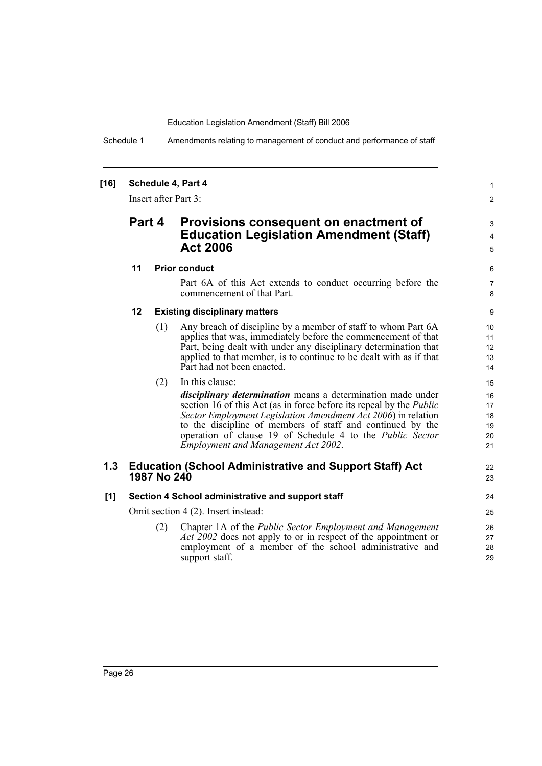Schedule 1 Amendments relating to management of conduct and performance of staff

# **[16] Schedule 4, Part 4**

Insert after Part 3:

# **Part 4 Provisions consequent on enactment of Education Legislation Amendment (Staff) Act 2006**

# **11 Prior conduct**

Part 6A of this Act extends to conduct occurring before the commencement of that Part.

1 2

3 4 5

22 23

# **12 Existing disciplinary matters**

(1) Any breach of discipline by a member of staff to whom Part 6A applies that was, immediately before the commencement of that Part, being dealt with under any disciplinary determination that applied to that member, is to continue to be dealt with as if that Part had not been enacted.

| (2) | In this clause:                                                                                                                                                                                                                                                                                                                                                                     |
|-----|-------------------------------------------------------------------------------------------------------------------------------------------------------------------------------------------------------------------------------------------------------------------------------------------------------------------------------------------------------------------------------------|
|     | <i>disciplinary determination</i> means a determination made under<br>section 16 of this Act (as in force before its repeal by the <i>Public</i><br>Sector Employment Legislation Amendment Act 2006) in relation<br>to the discipline of members of staff and continued by the<br>operation of clause 19 of Schedule 4 to the Public Sector<br>Employment and Management Act 2002. |
|     |                                                                                                                                                                                                                                                                                                                                                                                     |

# **1.3 Education (School Administrative and Support Staff) Act 1987 No 240**

# **[1] Section 4 School administrative and support staff**

Omit section 4 (2). Insert instead:

(2) Chapter 1A of the *Public Sector Employment and Management Act 2002* does not apply to or in respect of the appointment or employment of a member of the school administrative and support staff.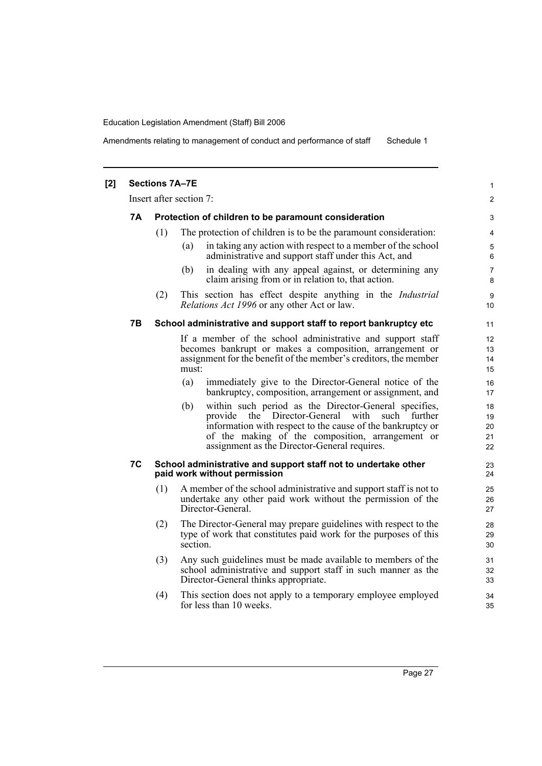Amendments relating to management of conduct and performance of staff Schedule 1

|           | <b>Sections 7A-7E</b> |                                                                                                                                                                                                                                                                                     | 1                          |
|-----------|-----------------------|-------------------------------------------------------------------------------------------------------------------------------------------------------------------------------------------------------------------------------------------------------------------------------------|----------------------------|
|           |                       | Insert after section 7:                                                                                                                                                                                                                                                             | $\overline{2}$             |
| <b>7A</b> |                       | Protection of children to be paramount consideration                                                                                                                                                                                                                                | 3                          |
|           | (1)                   | The protection of children is to be the paramount consideration:                                                                                                                                                                                                                    | 4                          |
|           |                       | in taking any action with respect to a member of the school<br>(a)<br>administrative and support staff under this Act, and                                                                                                                                                          | 5<br>6                     |
|           |                       | in dealing with any appeal against, or determining any<br>(b)<br>claim arising from or in relation to, that action.                                                                                                                                                                 | $\overline{7}$<br>8        |
|           | (2)                   | This section has effect despite anything in the <i>Industrial</i><br><i>Relations Act 1996</i> or any other Act or law.                                                                                                                                                             | 9<br>10                    |
| 7В        |                       | School administrative and support staff to report bankruptcy etc                                                                                                                                                                                                                    | 11                         |
|           |                       | If a member of the school administrative and support staff<br>becomes bankrupt or makes a composition, arrangement or<br>assignment for the benefit of the member's creditors, the member<br>must:                                                                                  | 12<br>13<br>14<br>15       |
|           |                       | (a)<br>immediately give to the Director-General notice of the<br>bankruptcy, composition, arrangement or assignment, and                                                                                                                                                            | 16<br>17                   |
|           |                       | within such period as the Director-General specifies,<br>(b)<br>provide the Director-General with<br>such further<br>information with respect to the cause of the bankruptcy or<br>of the making of the composition, arrangement or<br>assignment as the Director-General requires. | 18<br>19<br>20<br>21<br>22 |
| 7C        |                       | School administrative and support staff not to undertake other<br>paid work without permission                                                                                                                                                                                      | 23<br>24                   |
|           | (1)                   | A member of the school administrative and support staff is not to<br>undertake any other paid work without the permission of the<br>Director-General.                                                                                                                               | 25<br>26<br>27             |
|           | (2)                   | The Director-General may prepare guidelines with respect to the<br>type of work that constitutes paid work for the purposes of this<br>section.                                                                                                                                     | 28<br>29<br>30             |
|           | (3)                   | Any such guidelines must be made available to members of the<br>school administrative and support staff in such manner as the<br>Director-General thinks appropriate.                                                                                                               | 31<br>32<br>33             |
|           | (4)                   | This section does not apply to a temporary employee employed<br>for less than 10 weeks.                                                                                                                                                                                             | 34<br>35                   |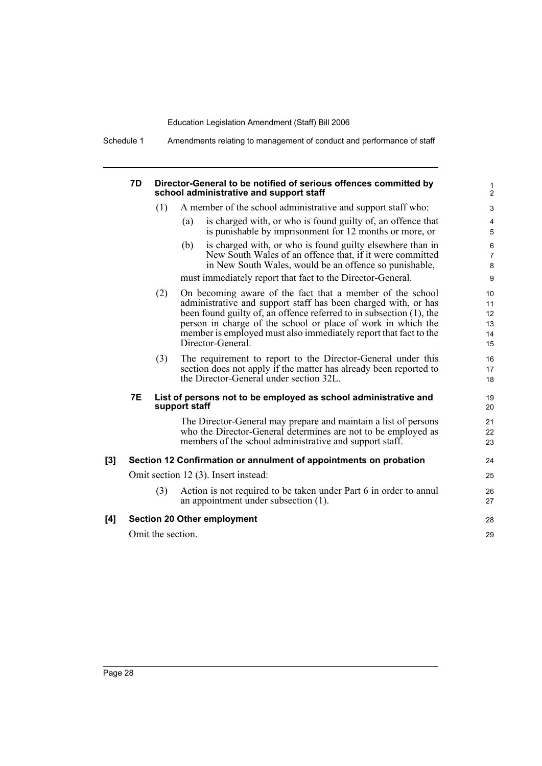Schedule 1 Amendments relating to management of conduct and performance of staff

| 7D        |                   | Director-General to be notified of serious offences committed by<br>school administrative and support staff                                                                                                                                                                                                                                                 |  |
|-----------|-------------------|-------------------------------------------------------------------------------------------------------------------------------------------------------------------------------------------------------------------------------------------------------------------------------------------------------------------------------------------------------------|--|
|           | (1)               | A member of the school administrative and support staff who:                                                                                                                                                                                                                                                                                                |  |
|           |                   | is charged with, or who is found guilty of, an offence that<br>(a)<br>is punishable by imprisonment for 12 months or more, or                                                                                                                                                                                                                               |  |
|           |                   | is charged with, or who is found guilty elsewhere than in<br>(b)<br>New South Wales of an offence that, if it were committed<br>in New South Wales, would be an offence so punishable,                                                                                                                                                                      |  |
|           |                   | must immediately report that fact to the Director-General.                                                                                                                                                                                                                                                                                                  |  |
|           | (2)               | On becoming aware of the fact that a member of the school<br>administrative and support staff has been charged with, or has<br>been found guilty of, an offence referred to in subsection (1), the<br>person in charge of the school or place of work in which the<br>member is employed must also immediately report that fact to the<br>Director-General. |  |
|           | (3)               | The requirement to report to the Director-General under this<br>section does not apply if the matter has already been reported to<br>the Director-General under section 32L.                                                                                                                                                                                |  |
| <b>7E</b> |                   | List of persons not to be employed as school administrative and<br>support staff                                                                                                                                                                                                                                                                            |  |
|           |                   | The Director-General may prepare and maintain a list of persons<br>who the Director-General determines are not to be employed as<br>members of the school administrative and support staff.                                                                                                                                                                 |  |
| [3]       |                   | Section 12 Confirmation or annulment of appointments on probation                                                                                                                                                                                                                                                                                           |  |
|           |                   | Omit section 12 (3). Insert instead:                                                                                                                                                                                                                                                                                                                        |  |
|           | (3)               | Action is not required to be taken under Part 6 in order to annul<br>an appointment under subsection (1).                                                                                                                                                                                                                                                   |  |
| [4]       |                   | <b>Section 20 Other employment</b>                                                                                                                                                                                                                                                                                                                          |  |
|           | Omit the section. |                                                                                                                                                                                                                                                                                                                                                             |  |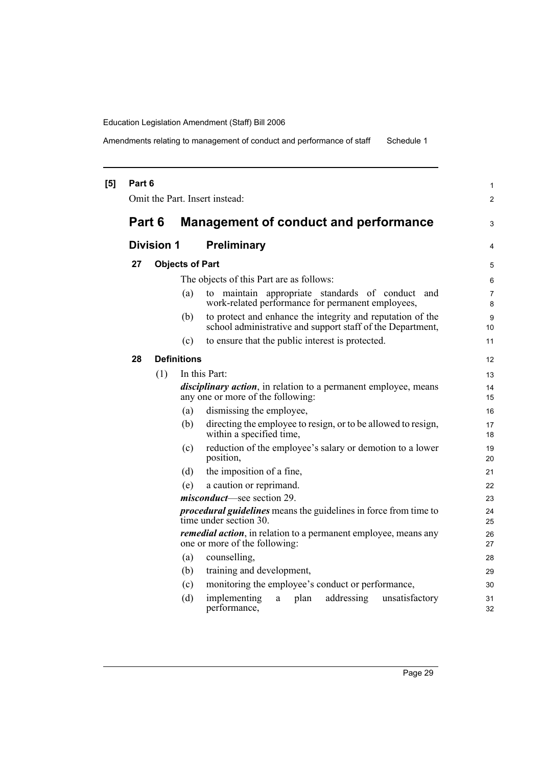Amendments relating to management of conduct and performance of staff Schedule 1

| [5] | Part 6 |                   |                        | Omit the Part. Insert instead:                                                                                           | 1<br>2   |
|-----|--------|-------------------|------------------------|--------------------------------------------------------------------------------------------------------------------------|----------|
|     | Part 6 |                   |                        | Management of conduct and performance                                                                                    | 3        |
|     |        | <b>Division 1</b> |                        | <b>Preliminary</b>                                                                                                       | 4        |
|     | 27     |                   | <b>Objects of Part</b> |                                                                                                                          | 5        |
|     |        |                   |                        | The objects of this Part are as follows:                                                                                 | 6        |
|     |        |                   | (a)                    | to maintain appropriate standards of conduct<br>and<br>work-related performance for permanent employees,                 | 7<br>8   |
|     |        |                   | (b)                    | to protect and enhance the integrity and reputation of the<br>school administrative and support staff of the Department, | 9<br>10  |
|     |        |                   | (c)                    | to ensure that the public interest is protected.                                                                         | 11       |
|     | 28     |                   | <b>Definitions</b>     |                                                                                                                          | 12       |
|     |        | (1)               |                        | In this Part:                                                                                                            | 13       |
|     |        |                   |                        | <i>disciplinary action</i> , in relation to a permanent employee, means<br>any one or more of the following:             | 14<br>15 |
|     |        |                   | (a)                    | dismissing the employee,                                                                                                 | 16       |
|     |        |                   | (b)                    | directing the employee to resign, or to be allowed to resign,<br>within a specified time,                                | 17<br>18 |
|     |        |                   | (c)                    | reduction of the employee's salary or demotion to a lower<br>position,                                                   | 19<br>20 |
|     |        |                   | (d)                    | the imposition of a fine,                                                                                                | 21       |
|     |        |                   | (e)                    | a caution or reprimand.                                                                                                  | 22       |
|     |        |                   |                        | <i>misconduct</i> —see section 29.                                                                                       | 23       |
|     |        |                   |                        | <i>procedural guidelines</i> means the guidelines in force from time to<br>time under section 30.                        | 24<br>25 |
|     |        |                   |                        | remedial action, in relation to a permanent employee, means any<br>one or more of the following:                         | 26<br>27 |
|     |        |                   | (a)                    | counselling,                                                                                                             | 28       |
|     |        |                   | (b)                    | training and development,                                                                                                | 29       |
|     |        |                   | (c)                    | monitoring the employee's conduct or performance,                                                                        | 30       |
|     |        |                   | (d)                    | implementing<br>addressing<br>unsatisfactory<br>plan<br>a<br>performance,                                                | 31<br>32 |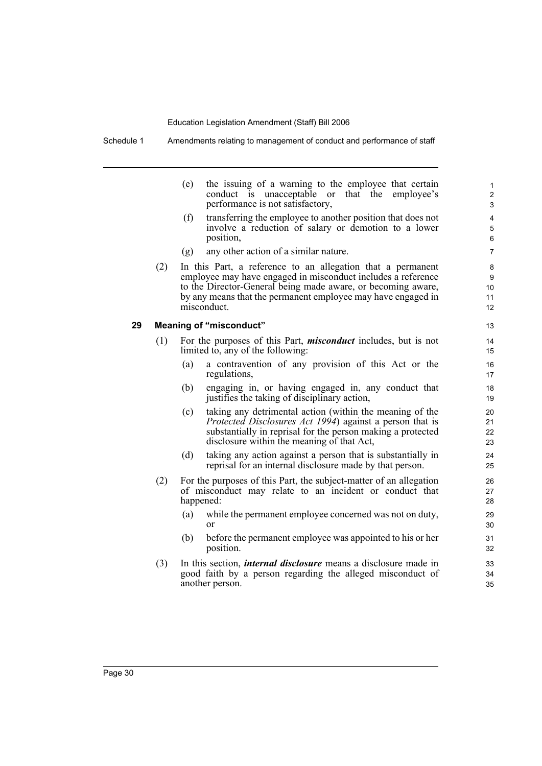Schedule 1 Amendments relating to management of conduct and performance of staff

|    |     | (e) | the issuing of a warning to the employee that certain<br>conduct is unacceptable or that the employee's<br>performance is not satisfactory,                                                                                                                                | 1<br>$\overline{c}$<br>3 |
|----|-----|-----|----------------------------------------------------------------------------------------------------------------------------------------------------------------------------------------------------------------------------------------------------------------------------|--------------------------|
|    |     | (f) | transferring the employee to another position that does not<br>involve a reduction of salary or demotion to a lower<br>position,                                                                                                                                           | $\overline{4}$<br>5<br>6 |
|    |     | (g) | any other action of a similar nature.                                                                                                                                                                                                                                      | $\overline{7}$           |
|    | (2) |     | In this Part, a reference to an allegation that a permanent<br>employee may have engaged in misconduct includes a reference<br>to the Director-General being made aware, or becoming aware,<br>by any means that the permanent employee may have engaged in<br>misconduct. | 8<br>9<br>10<br>11<br>12 |
| 29 |     |     | <b>Meaning of "misconduct"</b>                                                                                                                                                                                                                                             | 13                       |
|    | (1) |     | For the purposes of this Part, <i>misconduct</i> includes, but is not<br>limited to, any of the following:                                                                                                                                                                 | 14<br>15                 |
|    |     | (a) | a contravention of any provision of this Act or the<br>regulations,                                                                                                                                                                                                        | 16<br>17                 |
|    |     | (b) | engaging in, or having engaged in, any conduct that<br>justifies the taking of disciplinary action,                                                                                                                                                                        | 18<br>19                 |
|    |     | (c) | taking any detrimental action (within the meaning of the<br><i>Protected Disclosures Act 1994</i> ) against a person that is<br>substantially in reprisal for the person making a protected<br>disclosure within the meaning of that Act,                                  | 20<br>21<br>22<br>23     |
|    |     | (d) | taking any action against a person that is substantially in<br>reprisal for an internal disclosure made by that person.                                                                                                                                                    | 24<br>25                 |
|    | (2) |     | For the purposes of this Part, the subject-matter of an allegation<br>of misconduct may relate to an incident or conduct that<br>happened:                                                                                                                                 | 26<br>27<br>28           |
|    |     | (a) | while the permanent employee concerned was not on duty,<br><sub>or</sub>                                                                                                                                                                                                   | 29<br>30                 |
|    |     | (b) | before the permanent employee was appointed to his or her<br>position.                                                                                                                                                                                                     | 31<br>32                 |
|    | (3) |     | In this section, <i>internal disclosure</i> means a disclosure made in<br>good faith by a person regarding the alleged misconduct of<br>another person.                                                                                                                    | 33<br>34<br>35           |

i.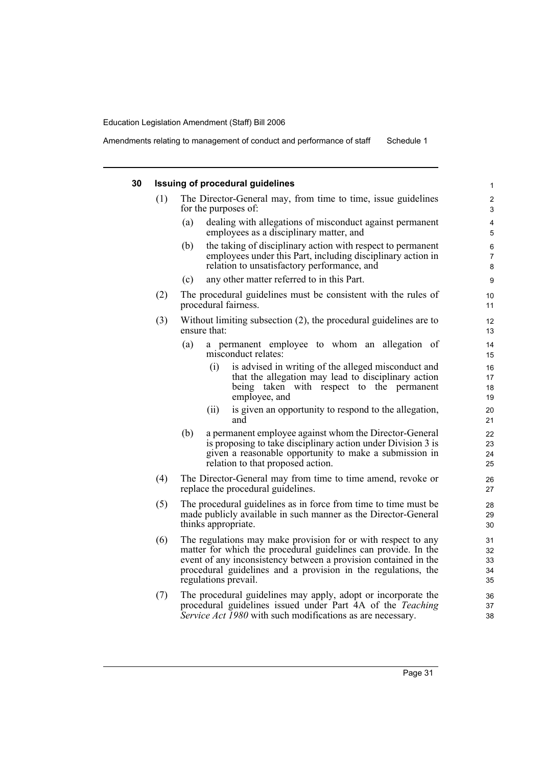#### **30 Issuing of procedural guidelines** (1) The Director-General may, from time to time, issue guidelines for the purposes of: (a) dealing with allegations of misconduct against permanent employees as a disciplinary matter, and (b) the taking of disciplinary action with respect to permanent employees under this Part, including disciplinary action in relation to unsatisfactory performance, and (c) any other matter referred to in this Part. (2) The procedural guidelines must be consistent with the rules of procedural fairness. (3) Without limiting subsection (2), the procedural guidelines are to ensure that: (a) a permanent employee to whom an allegation of misconduct relates: (i) is advised in writing of the alleged misconduct and that the allegation may lead to disciplinary action being taken with respect to the permanent employee, and (ii) is given an opportunity to respond to the allegation, and (b) a permanent employee against whom the Director-General is proposing to take disciplinary action under Division 3 is given a reasonable opportunity to make a submission in relation to that proposed action. (4) The Director-General may from time to time amend, revoke or replace the procedural guidelines. (5) The procedural guidelines as in force from time to time must be made publicly available in such manner as the Director-General thinks appropriate. (6) The regulations may make provision for or with respect to any matter for which the procedural guidelines can provide. In the event of any inconsistency between a provision contained in the procedural guidelines and a provision in the regulations, the regulations prevail. (7) The procedural guidelines may apply, adopt or incorporate the 1 2 3 4 5 6 7 8 9 10 11 12 13 14 15 16 17 18 19  $20$ 21 22 23 24 25 26 27 28 29 30 31 32 33 34 35 36

procedural guidelines issued under Part 4A of the *Teaching Service Act 1980* with such modifications as are necessary.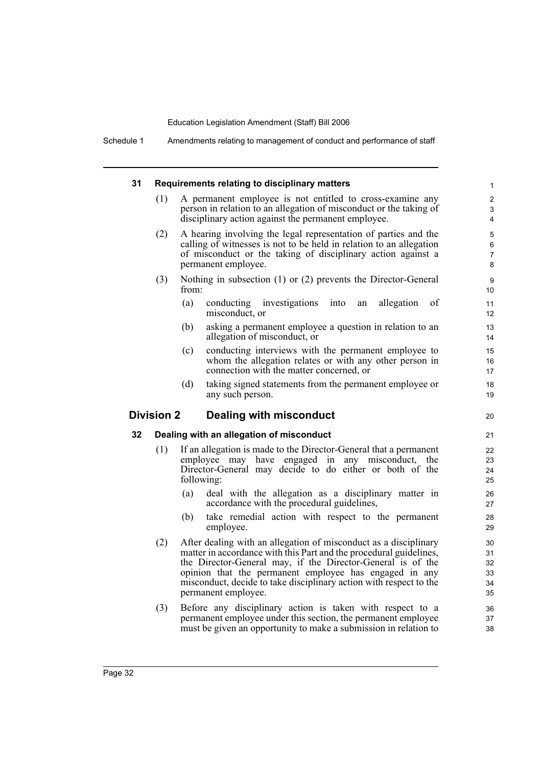Schedule 1 Amendments relating to management of conduct and performance of staff

| 31 |                   | Requirements relating to disciplinary matters                                                                                                                                                                                 | $\mathbf{1}$                  |
|----|-------------------|-------------------------------------------------------------------------------------------------------------------------------------------------------------------------------------------------------------------------------|-------------------------------|
|    | (1)               | A permanent employee is not entitled to cross-examine any<br>person in relation to an allegation of misconduct or the taking of<br>disciplinary action against the permanent employee.                                        | 2<br>3<br>4                   |
|    | (2)               | A hearing involving the legal representation of parties and the<br>calling of witnesses is not to be held in relation to an allegation<br>of misconduct or the taking of disciplinary action against a<br>permanent employee. | 5<br>6<br>$\overline{7}$<br>8 |
|    | (3)               | Nothing in subsection $(1)$ or $(2)$ prevents the Director-General<br>from:                                                                                                                                                   | 9<br>10                       |
|    |                   | (a)<br>conducting investigations<br>into<br>allegation<br>of<br>an<br>misconduct, or                                                                                                                                          | 11<br>12                      |
|    |                   | (b)<br>asking a permanent employee a question in relation to an<br>allegation of misconduct, or                                                                                                                               | 13<br>14                      |
|    |                   | conducting interviews with the permanent employee to<br>(c)<br>whom the allegation relates or with any other person in<br>connection with the matter concerned, or                                                            | 15<br>16<br>17                |
|    |                   | (d)<br>taking signed statements from the permanent employee or<br>any such person.                                                                                                                                            | 18<br>19                      |
|    | <b>Division 2</b> | Dealing with misconduct                                                                                                                                                                                                       | 20                            |
| 32 |                   | Dealing with an allegation of misconduct                                                                                                                                                                                      | 21                            |
|    | (1)               | If an allegation is made to the Director-General that a permanent<br>employee may have engaged in any misconduct,<br>the<br>Director-General may decide to do either or both of the<br>following:                             | 22<br>23<br>24<br>25          |
|    |                   | deal with the allegation as a disciplinary matter in<br>(a)<br>accordance with the procedural guidelines,                                                                                                                     | 26<br>27                      |
|    |                   | take remedial action with respect to the permanent<br>(b)<br>employee.                                                                                                                                                        | 28<br>29                      |
|    | (2)               | After dealing with an allegation of misconduct as a disciplinary<br>matter in accordance with this Part and the procedural guidelines,<br>the Director-General may, if the Director-General is of the                         | 30<br>31<br>32<br>33          |
|    |                   | opinion that the permanent employee has engaged in any<br>misconduct, decide to take disciplinary action with respect to the<br>permanent employee.                                                                           | 34<br>35                      |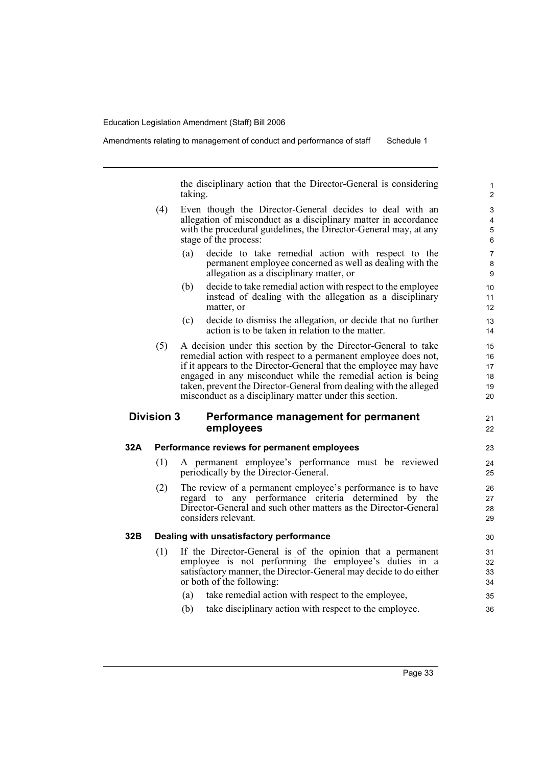Amendments relating to management of conduct and performance of staff Schedule 1

the disciplinary action that the Director-General is considering taking.

- (4) Even though the Director-General decides to deal with an allegation of misconduct as a disciplinary matter in accordance with the procedural guidelines, the Director-General may, at any stage of the process:
	- (a) decide to take remedial action with respect to the permanent employee concerned as well as dealing with the allegation as a disciplinary matter, or
	- (b) decide to take remedial action with respect to the employee instead of dealing with the allegation as a disciplinary matter, or
	- (c) decide to dismiss the allegation, or decide that no further action is to be taken in relation to the matter.
- (5) A decision under this section by the Director-General to take remedial action with respect to a permanent employee does not, if it appears to the Director-General that the employee may have engaged in any misconduct while the remedial action is being taken, prevent the Director-General from dealing with the alleged misconduct as a disciplinary matter under this section.

# **Division 3 Performance management for permanent employees**

#### **32A Performance reviews for permanent employees**

- (1) A permanent employee's performance must be reviewed periodically by the Director-General.
- (2) The review of a permanent employee's performance is to have regard to any performance criteria determined by the Director-General and such other matters as the Director-General considers relevant.

# **32B Dealing with unsatisfactory performance**

- (1) If the Director-General is of the opinion that a permanent employee is not performing the employee's duties in a satisfactory manner, the Director-General may decide to do either or both of the following:
	- (a) take remedial action with respect to the employee,
	- (b) take disciplinary action with respect to the employee.

21 22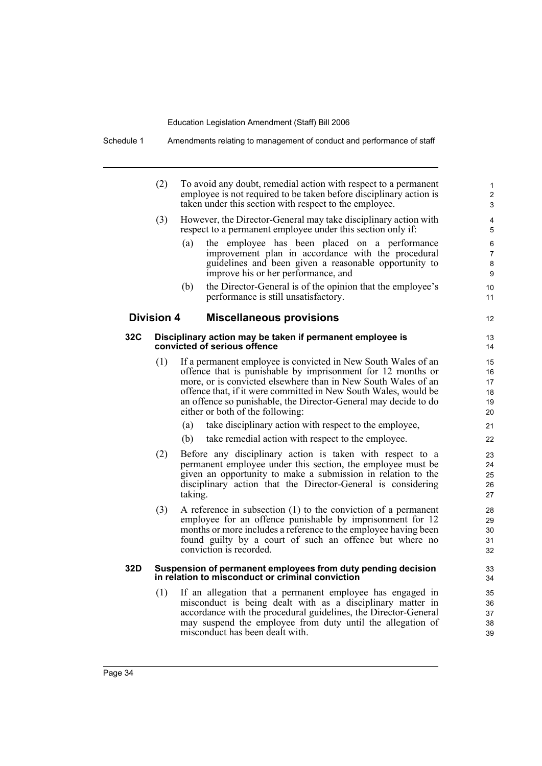Schedule 1 Amendments relating to management of conduct and performance of staff

|     | (2)               | To avoid any doubt, remedial action with respect to a permanent<br>employee is not required to be taken before disciplinary action is<br>taken under this section with respect to the employee.                                                                                                                                                                         | $\mathbf{1}$<br>$\overline{2}$<br>3 |
|-----|-------------------|-------------------------------------------------------------------------------------------------------------------------------------------------------------------------------------------------------------------------------------------------------------------------------------------------------------------------------------------------------------------------|-------------------------------------|
|     | (3)               | However, the Director-General may take disciplinary action with<br>respect to a permanent employee under this section only if:                                                                                                                                                                                                                                          | 4<br>5                              |
|     |                   | the employee has been placed on a performance<br>(a)<br>improvement plan in accordance with the procedural<br>guidelines and been given a reasonable opportunity to<br>improve his or her performance, and                                                                                                                                                              | 6<br>$\overline{7}$<br>8<br>9       |
|     |                   | the Director-General is of the opinion that the employee's<br>(b)<br>performance is still unsatisfactory.                                                                                                                                                                                                                                                               | 10<br>11                            |
|     | <b>Division 4</b> | <b>Miscellaneous provisions</b>                                                                                                                                                                                                                                                                                                                                         | 12                                  |
| 32C |                   | Disciplinary action may be taken if permanent employee is<br>convicted of serious offence                                                                                                                                                                                                                                                                               | 13<br>14                            |
|     | (1)               | If a permanent employee is convicted in New South Wales of an<br>offence that is punishable by imprisonment for 12 months or<br>more, or is convicted elsewhere than in New South Wales of an<br>offence that, if it were committed in New South Wales, would be<br>an offence so punishable, the Director-General may decide to do<br>either or both of the following: | 15<br>16<br>17<br>18<br>19<br>20    |
|     |                   | take disciplinary action with respect to the employee,<br>(a)                                                                                                                                                                                                                                                                                                           | 21                                  |
|     |                   | (b)<br>take remedial action with respect to the employee.                                                                                                                                                                                                                                                                                                               | 22                                  |
|     | (2)               | Before any disciplinary action is taken with respect to a<br>permanent employee under this section, the employee must be<br>given an opportunity to make a submission in relation to the<br>disciplinary action that the Director-General is considering<br>taking.                                                                                                     | 23<br>24<br>25<br>26<br>27          |
|     | (3)               | A reference in subsection $(1)$ to the conviction of a permanent<br>employee for an offence punishable by imprisonment for 12<br>months or more includes a reference to the employee having been<br>found guilty by a court of such an offence but where no<br>conviction is recorded.                                                                                  | 28<br>29<br>30<br>31<br>32          |
| 32D |                   | Suspension of permanent employees from duty pending decision<br>in relation to misconduct or criminal conviction                                                                                                                                                                                                                                                        | 33<br>34                            |
|     | (1)               | If an allegation that a permanent employee has engaged in<br>misconduct is being dealt with as a disciplinary matter in<br>accordance with the procedural guidelines, the Director-General<br>may suspend the employee from duty until the allegation of<br>misconduct has been dealt with.                                                                             | 35<br>36<br>37<br>38<br>39          |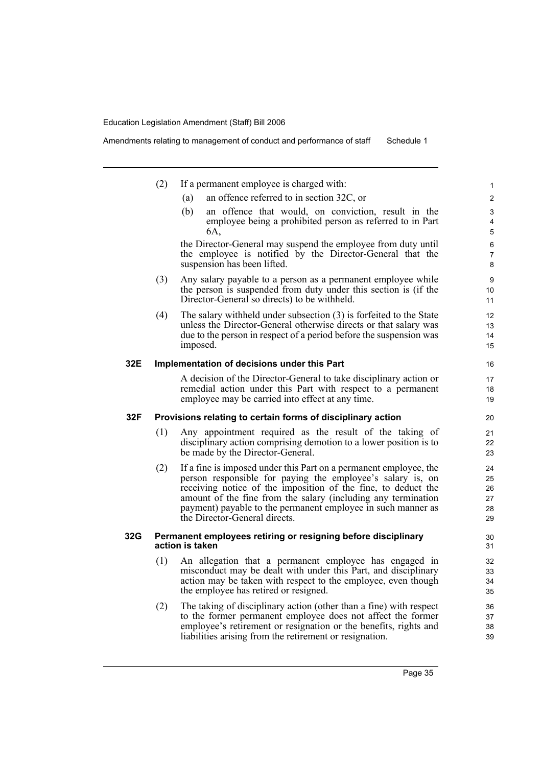|     | (2) | If a permanent employee is charged with:                                                                                                                         | 1              |
|-----|-----|------------------------------------------------------------------------------------------------------------------------------------------------------------------|----------------|
|     |     | an offence referred to in section 32C, or<br>(a)                                                                                                                 | $\overline{c}$ |
|     |     | an offence that would, on conviction, result in the<br>(b)                                                                                                       | 3              |
|     |     | employee being a prohibited person as referred to in Part<br>6A.                                                                                                 | 4<br>5         |
|     |     | the Director-General may suspend the employee from duty until                                                                                                    | 6              |
|     |     | the employee is notified by the Director-General that the<br>suspension has been lifted.                                                                         | 7<br>8         |
|     | (3) | Any salary payable to a person as a permanent employee while<br>the person is suspended from duty under this section is (if the                                  | 9<br>10        |
|     |     | Director-General so directs) to be withheld.                                                                                                                     | 11             |
|     | (4) | The salary withheld under subsection $(3)$ is forfeited to the State                                                                                             | 12             |
|     |     | unless the Director-General otherwise directs or that salary was<br>due to the person in respect of a period before the suspension was                           | 13<br>14       |
|     |     | imposed.                                                                                                                                                         | 15             |
| 32E |     | Implementation of decisions under this Part                                                                                                                      | 16             |
|     |     | A decision of the Director-General to take disciplinary action or                                                                                                | 17             |
|     |     | remedial action under this Part with respect to a permanent<br>employee may be carried into effect at any time.                                                  | 18<br>19       |
| 32F |     | Provisions relating to certain forms of disciplinary action                                                                                                      | 20             |
|     | (1) | Any appointment required as the result of the taking of<br>disciplinary action comprising demotion to a lower position is to<br>be made by the Director-General. | 21<br>22<br>23 |
|     | (2) | If a fine is imposed under this Part on a permanent employee, the                                                                                                | 24             |
|     |     | person responsible for paying the employee's salary is, on                                                                                                       | 25             |
|     |     | receiving notice of the imposition of the fine, to deduct the<br>amount of the fine from the salary (including any termination                                   | 26<br>27       |
|     |     | payment) payable to the permanent employee in such manner as                                                                                                     | 28             |
|     |     | the Director-General directs.                                                                                                                                    | 29             |
| 32G |     | Permanent employees retiring or resigning before disciplinary<br>action is taken                                                                                 | 30<br>31       |
|     | (1) | An allegation that a permanent employee has engaged in                                                                                                           | 32             |
|     |     | misconduct may be dealt with under this Part, and disciplinary<br>action may be taken with respect to the employee, even though                                  | 33<br>34       |
|     |     | the employee has retired or resigned.                                                                                                                            | 35             |
|     | (2) | The taking of disciplinary action (other than a fine) with respect                                                                                               | 36             |
|     |     | to the former permanent employee does not affect the former<br>employee's retirement or resignation or the benefits, rights and                                  | 37<br>38       |
|     |     | liabilities arising from the retirement or resignation.                                                                                                          | 39             |
|     |     |                                                                                                                                                                  |                |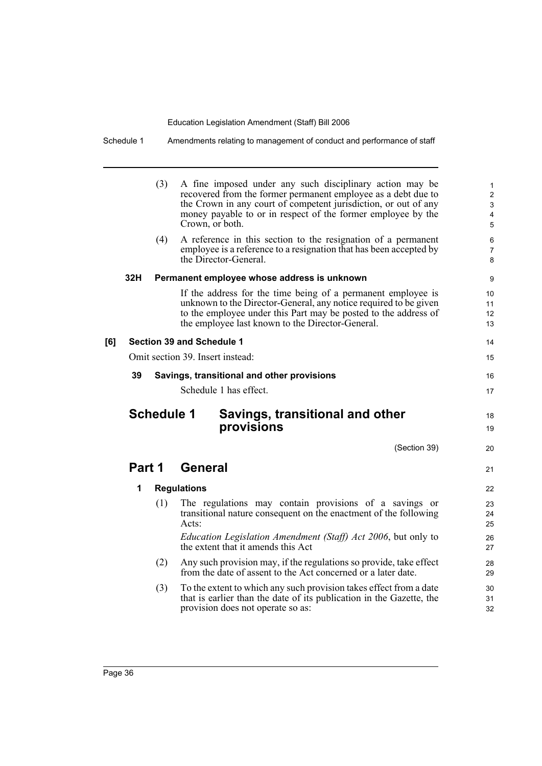|     | (3)               | A fine imposed under any such disciplinary action may be<br>recovered from the former permanent employee as a debt due to<br>the Crown in any court of competent jurisdiction, or out of any<br>money payable to or in respect of the former employee by the<br>Crown, or both. | $\mathbf{1}$<br>$\overline{2}$<br>3<br>4<br>5 |
|-----|-------------------|---------------------------------------------------------------------------------------------------------------------------------------------------------------------------------------------------------------------------------------------------------------------------------|-----------------------------------------------|
|     | (4)               | A reference in this section to the resignation of a permanent<br>employee is a reference to a resignation that has been accepted by<br>the Director-General.                                                                                                                    | 6<br>7<br>8                                   |
| 32H |                   | Permanent employee whose address is unknown                                                                                                                                                                                                                                     | 9                                             |
|     |                   | If the address for the time being of a permanent employee is<br>unknown to the Director-General, any notice required to be given<br>to the employee under this Part may be posted to the address of<br>the employee last known to the Director-General.                         | 10 <sup>°</sup><br>11<br>12<br>13             |
| [6] |                   | Section 39 and Schedule 1                                                                                                                                                                                                                                                       | 14                                            |
|     |                   | Omit section 39. Insert instead:                                                                                                                                                                                                                                                | 15                                            |
| 39  |                   | Savings, transitional and other provisions                                                                                                                                                                                                                                      | 16                                            |
|     |                   |                                                                                                                                                                                                                                                                                 |                                               |
|     |                   | Schedule 1 has effect.                                                                                                                                                                                                                                                          | 17                                            |
|     | <b>Schedule 1</b> | Savings, transitional and other<br>provisions                                                                                                                                                                                                                                   | 18<br>19                                      |
|     |                   | (Section 39)                                                                                                                                                                                                                                                                    | 20                                            |
|     | Part 1            | <b>General</b>                                                                                                                                                                                                                                                                  | 21                                            |
| 1   |                   | <b>Regulations</b>                                                                                                                                                                                                                                                              | 22                                            |
|     | (1)               | The regulations may contain provisions of a savings or<br>transitional nature consequent on the enactment of the following<br>Acts:                                                                                                                                             | 23<br>24<br>25                                |
|     |                   | Education Legislation Amendment (Staff) Act 2006, but only to<br>the extent that it amends this Act                                                                                                                                                                             | 26<br>27                                      |
|     | (2)               | Any such provision may, if the regulations so provide, take effect<br>from the date of assent to the Act concerned or a later date.                                                                                                                                             | 28<br>29                                      |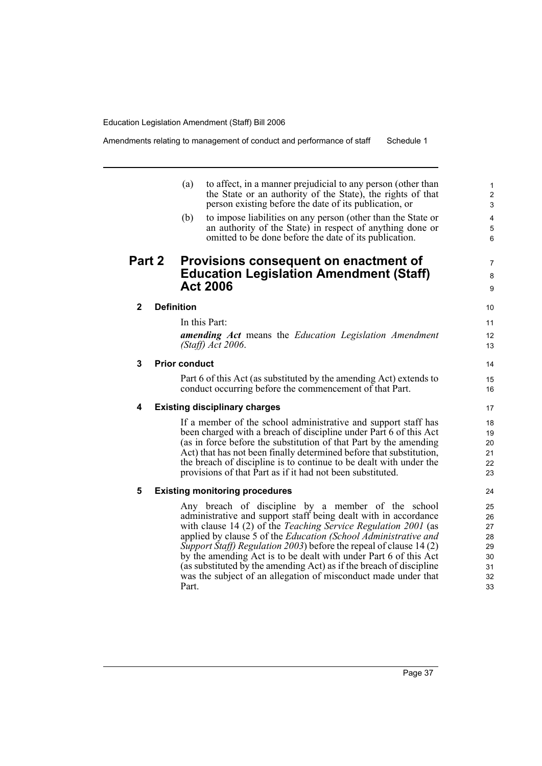Part.

Amendments relating to management of conduct and performance of staff Schedule 1

|               |                   | (a)                  | to affect, in a manner prejudicial to any person (other than<br>the State or an authority of the State), the rights of that<br>person existing before the date of its publication, or                                                                                                                                                                                                                               |
|---------------|-------------------|----------------------|---------------------------------------------------------------------------------------------------------------------------------------------------------------------------------------------------------------------------------------------------------------------------------------------------------------------------------------------------------------------------------------------------------------------|
|               |                   | (b)                  | to impose liabilities on any person (other than the State or<br>an authority of the State) in respect of anything done or<br>omitted to be done before the date of its publication.                                                                                                                                                                                                                                 |
| <b>Part 2</b> |                   |                      | Provisions consequent on enactment of<br><b>Education Legislation Amendment (Staff)</b><br><b>Act 2006</b>                                                                                                                                                                                                                                                                                                          |
| $\mathbf{2}$  | <b>Definition</b> |                      |                                                                                                                                                                                                                                                                                                                                                                                                                     |
|               |                   |                      | In this Part:                                                                                                                                                                                                                                                                                                                                                                                                       |
|               |                   |                      | <b>amending Act</b> means the Education Legislation Amendment<br>$(Staff)$ Act 2006.                                                                                                                                                                                                                                                                                                                                |
| 3             |                   | <b>Prior conduct</b> |                                                                                                                                                                                                                                                                                                                                                                                                                     |
|               |                   |                      | Part 6 of this Act (as substituted by the amending Act) extends to<br>conduct occurring before the commencement of that Part.                                                                                                                                                                                                                                                                                       |
| 4             |                   |                      | <b>Existing disciplinary charges</b>                                                                                                                                                                                                                                                                                                                                                                                |
|               |                   |                      | If a member of the school administrative and support staff has<br>been charged with a breach of discipline under Part 6 of this Act<br>(as in force before the substitution of that Part by the amending<br>Act) that has not been finally determined before that substitution,<br>the breach of discipline is to continue to be dealt with under the<br>provisions of that Part as if it had not been substituted. |
| 5             |                   |                      | <b>Existing monitoring procedures</b>                                                                                                                                                                                                                                                                                                                                                                               |
|               |                   |                      | Any breach of discipline by a member of the school<br>administrative and support staff being dealt with in accordance<br>with clause 14 (2) of the Teaching Service Regulation 2001 (as<br>applied by clause 5 of the Education (School Administrative and<br>Support Staff) Regulation 2003) before the repeal of clause 14(2)<br>by the amending Act is to be dealt with under Part 6 of this Act                 |

(as substituted by the amending Act) as if the breach of discipline was the subject of an allegation of misconduct made under that

7 8 9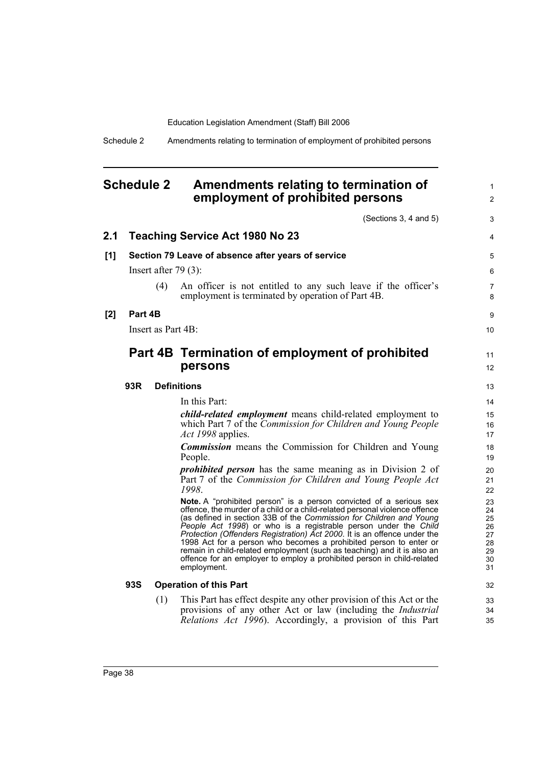Schedule 2 Amendments relating to termination of employment of prohibited persons

# **Schedule 2 Amendments relating to termination of employment of prohibited persons**

(Sections 3, 4 and 5)

|     |            |                        | (Sections 3, 4 and 5)                                                                                                                                                                                                                                                                                                                                                                                                                                                                                                                                                                                            | 3                                                  |
|-----|------------|------------------------|------------------------------------------------------------------------------------------------------------------------------------------------------------------------------------------------------------------------------------------------------------------------------------------------------------------------------------------------------------------------------------------------------------------------------------------------------------------------------------------------------------------------------------------------------------------------------------------------------------------|----------------------------------------------------|
| 2.1 |            |                        | <b>Teaching Service Act 1980 No 23</b>                                                                                                                                                                                                                                                                                                                                                                                                                                                                                                                                                                           | 4                                                  |
| [1] |            |                        | Section 79 Leave of absence after years of service                                                                                                                                                                                                                                                                                                                                                                                                                                                                                                                                                               | 5                                                  |
|     |            | Insert after $79(3)$ : |                                                                                                                                                                                                                                                                                                                                                                                                                                                                                                                                                                                                                  | 6                                                  |
|     |            | (4)                    | An officer is not entitled to any such leave if the officer's<br>employment is terminated by operation of Part 4B.                                                                                                                                                                                                                                                                                                                                                                                                                                                                                               | 7<br>8                                             |
| [2] | Part 4B    |                        |                                                                                                                                                                                                                                                                                                                                                                                                                                                                                                                                                                                                                  | 9                                                  |
|     |            | Insert as Part 4B:     |                                                                                                                                                                                                                                                                                                                                                                                                                                                                                                                                                                                                                  | 10                                                 |
|     |            |                        | Part 4B Termination of employment of prohibited<br>persons                                                                                                                                                                                                                                                                                                                                                                                                                                                                                                                                                       | 11<br>12                                           |
|     | 93R        |                        | <b>Definitions</b>                                                                                                                                                                                                                                                                                                                                                                                                                                                                                                                                                                                               | 13                                                 |
|     |            |                        | In this Part:                                                                                                                                                                                                                                                                                                                                                                                                                                                                                                                                                                                                    | 14                                                 |
|     |            |                        | <i>child-related employment</i> means child-related employment to<br>which Part 7 of the Commission for Children and Young People<br>Act 1998 applies.                                                                                                                                                                                                                                                                                                                                                                                                                                                           | 15<br>16<br>17                                     |
|     |            |                        | <b>Commission</b> means the Commission for Children and Young<br>People.                                                                                                                                                                                                                                                                                                                                                                                                                                                                                                                                         | 18<br>19                                           |
|     |            |                        | <i>prohibited person</i> has the same meaning as in Division 2 of<br>Part 7 of the Commission for Children and Young People Act<br>1998.                                                                                                                                                                                                                                                                                                                                                                                                                                                                         | 20<br>21<br>22                                     |
|     |            |                        | Note. A "prohibited person" is a person convicted of a serious sex<br>offence, the murder of a child or a child-related personal violence offence<br>(as defined in section 33B of the Commission for Children and Young<br>People Act 1998) or who is a registrable person under the Child<br>Protection (Offenders Registration) Act 2000. It is an offence under the<br>1998 Act for a person who becomes a prohibited person to enter or<br>remain in child-related employment (such as teaching) and it is also an<br>offence for an employer to employ a prohibited person in child-related<br>employment. | 23<br>24<br>25<br>26<br>27<br>28<br>29<br>30<br>31 |
|     | <b>93S</b> |                        | <b>Operation of this Part</b>                                                                                                                                                                                                                                                                                                                                                                                                                                                                                                                                                                                    | 32                                                 |
|     |            | (1)                    | This Part has effect despite any other provision of this Act or the<br>provisions of any other Act or law (including the <i>Industrial</i><br>Relations Act 1996). Accordingly, a provision of this Part                                                                                                                                                                                                                                                                                                                                                                                                         | 33<br>34<br>35                                     |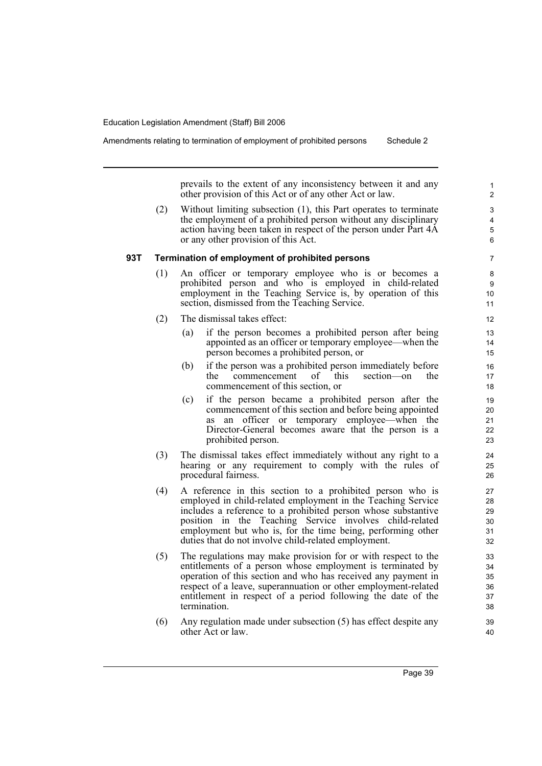prevails to the extent of any inconsistency between it and any other provision of this Act or of any other Act or law.

(2) Without limiting subsection (1), this Part operates to terminate the employment of a prohibited person without any disciplinary action having been taken in respect of the person under Part 4A or any other provision of this Act.

# **93T Termination of employment of prohibited persons**

- (1) An officer or temporary employee who is or becomes a prohibited person and who is employed in child-related employment in the Teaching Service is, by operation of this section, dismissed from the Teaching Service.
- (2) The dismissal takes effect:
	- (a) if the person becomes a prohibited person after being appointed as an officer or temporary employee—when the person becomes a prohibited person, or
	- (b) if the person was a prohibited person immediately before<br>the commencement of this section—on the the commencement of this section—on the commencement of this section, or
	- (c) if the person became a prohibited person after the commencement of this section and before being appointed as an officer or temporary employee—when the Director-General becomes aware that the person is a prohibited person.
- (3) The dismissal takes effect immediately without any right to a hearing or any requirement to comply with the rules of procedural fairness.
- (4) A reference in this section to a prohibited person who is employed in child-related employment in the Teaching Service includes a reference to a prohibited person whose substantive position in the Teaching Service involves child-related employment but who is, for the time being, performing other duties that do not involve child-related employment.
- (5) The regulations may make provision for or with respect to the entitlements of a person whose employment is terminated by operation of this section and who has received any payment in respect of a leave, superannuation or other employment-related entitlement in respect of a period following the date of the termination.
- (6) Any regulation made under subsection (5) has effect despite any other Act or law.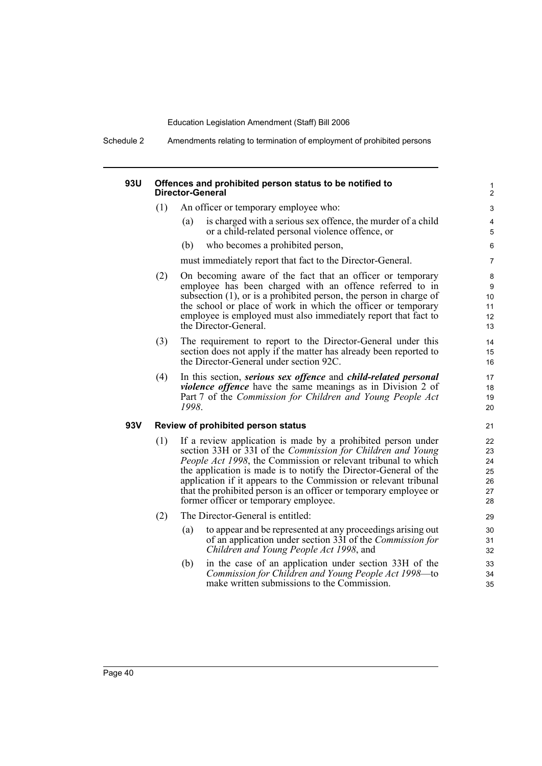Schedule 2 Amendments relating to termination of employment of prohibited persons

# **93U Offences and prohibited person status to be notified to Director-General**

- (1) An officer or temporary employee who:
	- (a) is charged with a serious sex offence, the murder of a child or a child-related personal violence offence, or

(b) who becomes a prohibited person,

must immediately report that fact to the Director-General.

- (2) On becoming aware of the fact that an officer or temporary employee has been charged with an offence referred to in subsection (1), or is a prohibited person, the person in charge of the school or place of work in which the officer or temporary employee is employed must also immediately report that fact to the Director-General.
- (3) The requirement to report to the Director-General under this section does not apply if the matter has already been reported to the Director-General under section 92C.
- (4) In this section, *serious sex offence* and *child-related personal violence offence* have the same meanings as in Division 2 of Part 7 of the *Commission for Children and Young People Act 1998*.

# **93V Review of prohibited person status**

- (1) If a review application is made by a prohibited person under section 33H or 33I of the *Commission for Children and Young People Act 1998*, the Commission or relevant tribunal to which the application is made is to notify the Director-General of the application if it appears to the Commission or relevant tribunal that the prohibited person is an officer or temporary employee or former officer or temporary employee.
- (2) The Director-General is entitled:
	- (a) to appear and be represented at any proceedings arising out of an application under section 33I of the *Commission for Children and Young People Act 1998*, and
	- (b) in the case of an application under section 33H of the *Commission for Children and Young People Act 1998*—to make written submissions to the Commission.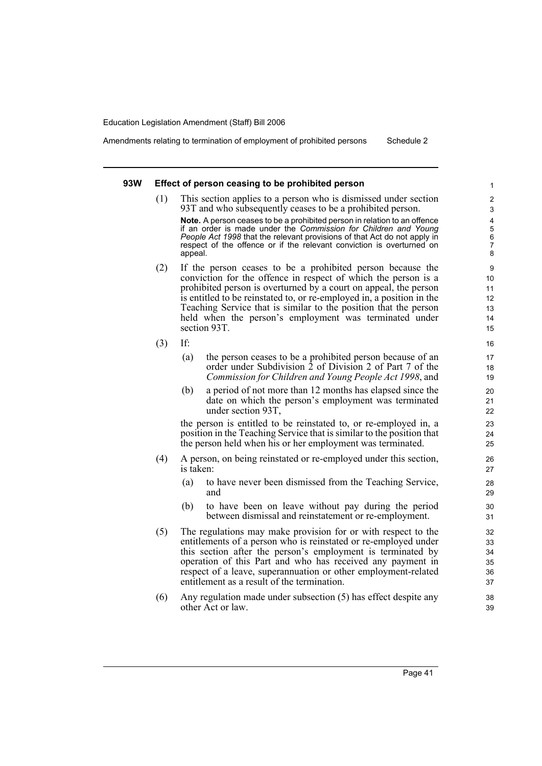Amendments relating to termination of employment of prohibited persons Schedule 2

#### **93W Effect of person ceasing to be prohibited person**

(1) This section applies to a person who is dismissed under section 93T and who subsequently ceases to be a prohibited person.

**Note.** A person ceases to be a prohibited person in relation to an offence if an order is made under the *Commission for Children and Young People Act 1998* that the relevant provisions of that Act do not apply in respect of the offence or if the relevant conviction is overturned on appeal.

- (2) If the person ceases to be a prohibited person because the conviction for the offence in respect of which the person is a prohibited person is overturned by a court on appeal, the person is entitled to be reinstated to, or re-employed in, a position in the Teaching Service that is similar to the position that the person held when the person's employment was terminated under section 93T.
- (3) If:
	- (a) the person ceases to be a prohibited person because of an order under Subdivision 2 of Division 2 of Part 7 of the *Commission for Children and Young People Act 1998*, and
	- (b) a period of not more than 12 months has elapsed since the date on which the person's employment was terminated under section 93T,

the person is entitled to be reinstated to, or re-employed in, a position in the Teaching Service that is similar to the position that the person held when his or her employment was terminated.

- (4) A person, on being reinstated or re-employed under this section, is taken:
	- (a) to have never been dismissed from the Teaching Service, and
	- (b) to have been on leave without pay during the period between dismissal and reinstatement or re-employment.
- (5) The regulations may make provision for or with respect to the entitlements of a person who is reinstated or re-employed under this section after the person's employment is terminated by operation of this Part and who has received any payment in respect of a leave, superannuation or other employment-related entitlement as a result of the termination.
- (6) Any regulation made under subsection (5) has effect despite any other Act or law.

39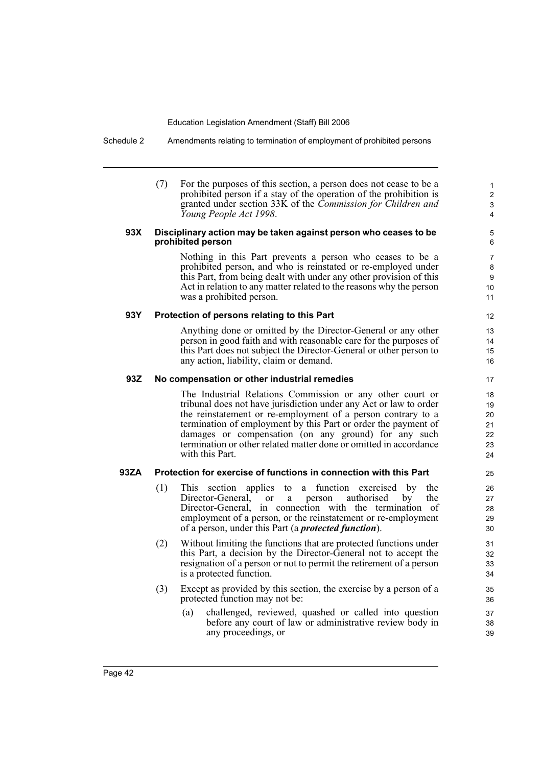Schedule 2 Amendments relating to termination of employment of prohibited persons

(7) For the purposes of this section, a person does not cease to be a prohibited person if a stay of the operation of the prohibition is granted under section 33K of the *Commission for Children and Young People Act 1998*.

# **93X Disciplinary action may be taken against person who ceases to be prohibited person**

Nothing in this Part prevents a person who ceases to be a prohibited person, and who is reinstated or re-employed under this Part, from being dealt with under any other provision of this Act in relation to any matter related to the reasons why the person was a prohibited person.

# **93Y Protection of persons relating to this Part**

Anything done or omitted by the Director-General or any other person in good faith and with reasonable care for the purposes of this Part does not subject the Director-General or other person to any action, liability, claim or demand.

# **93Z No compensation or other industrial remedies**

The Industrial Relations Commission or any other court or tribunal does not have jurisdiction under any Act or law to order the reinstatement or re-employment of a person contrary to a termination of employment by this Part or order the payment of damages or compensation (on any ground) for any such termination or other related matter done or omitted in accordance with this Part.

# **93ZA Protection for exercise of functions in connection with this Part**

- (1) This section applies to a function exercised by the Director-General, or a person authorised by the Director-General, in connection with the termination of employment of a person, or the reinstatement or re-employment of a person, under this Part (a *protected function*).
- (2) Without limiting the functions that are protected functions under this Part, a decision by the Director-General not to accept the resignation of a person or not to permit the retirement of a person is a protected function.
- (3) Except as provided by this section, the exercise by a person of a protected function may not be:
	- (a) challenged, reviewed, quashed or called into question before any court of law or administrative review body in any proceedings, or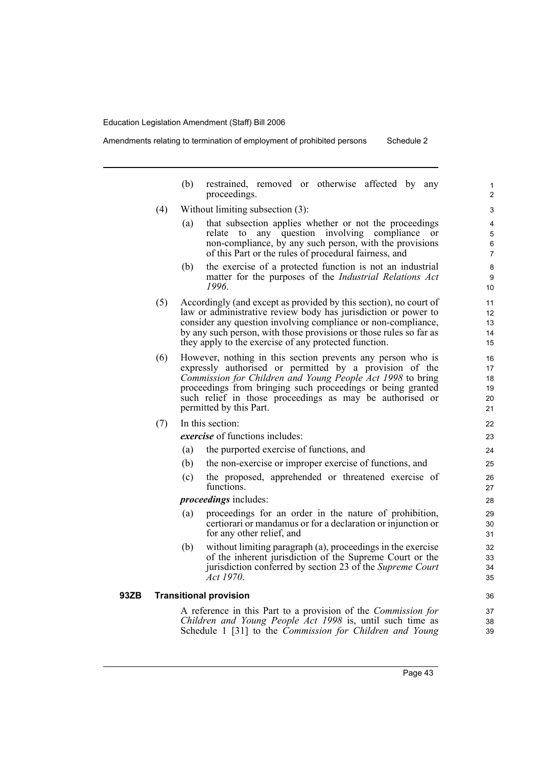Amendments relating to termination of employment of prohibited persons Schedule 2

(b) restrained, removed or otherwise affected by any proceedings. (4) Without limiting subsection (3): (a) that subsection applies whether or not the proceedings relate to any question involving compliance or non-compliance, by any such person, with the provisions of this Part or the rules of procedural fairness, and (b) the exercise of a protected function is not an industrial matter for the purposes of the *Industrial Relations Act 1996*. (5) Accordingly (and except as provided by this section), no court of law or administrative review body has jurisdiction or power to consider any question involving compliance or non-compliance, by any such person, with those provisions or those rules so far as they apply to the exercise of any protected function. (6) However, nothing in this section prevents any person who is expressly authorised or permitted by a provision of the *Commission for Children and Young People Act 1998* to bring proceedings from bringing such proceedings or being granted such relief in those proceedings as may be authorised or permitted by this Part. (7) In this section: *exercise* of functions includes: (a) the purported exercise of functions, and (b) the non-exercise or improper exercise of functions, and (c) the proposed, apprehended or threatened exercise of functions. *proceedings* includes: (a) proceedings for an order in the nature of prohibition, certiorari or mandamus or for a declaration or injunction or for any other relief, and (b) without limiting paragraph (a), proceedings in the exercise of the inherent jurisdiction of the Supreme Court or the jurisdiction conferred by section 23 of the *Supreme Court Act 1970*. **93ZB Transitional provision** A reference in this Part to a provision of the *Commission for Children and Young People Act 1998* is, until such time as Schedule 1 [31] to the *Commission for Children and Young* 1  $\overline{2}$ 3 4 5 6 7 8 9 10 11 12 13 14 15 16 17 18 19 20 21 22 23 24 25 26 27 28 29 30 31 32 33 34 35 36 37 38 39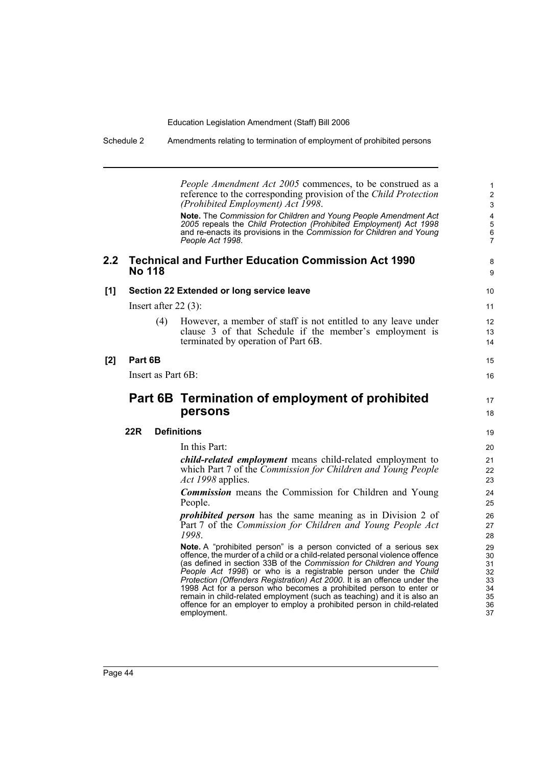| Schedule 2 | Amendments relating to termination of employment of prohibited persons |
|------------|------------------------------------------------------------------------|
|            |                                                                        |

*People Amendment Act 2005* commences, to be construed as a reference to the corresponding provision of the *Child Protection (Prohibited Employment) Act 1998*. **Note.** The *Commission for Children and Young People Amendment Act 2005* repeals the *Child Protection (Prohibited Employment) Act 1998* and re-enacts its provisions in the *Commission for Children and Young People Act 1998*. **2.2 Technical and Further Education Commission Act 1990 No 118 [1] Section 22 Extended or long service leave** Insert after 22 (3): (4) However, a member of staff is not entitled to any leave under clause 3 of that Schedule if the member's employment is terminated by operation of Part 6B. **[2] Part 6B** Insert as Part 6B: **Part 6B Termination of employment of prohibited persons 22R Definitions** In this Part: *child-related employment* means child-related employment to which Part 7 of the *Commission for Children and Young People Act 1998* applies. *Commission* means the Commission for Children and Young People. *prohibited person* has the same meaning as in Division 2 of Part 7 of the *Commission for Children and Young People Act 1998*. **Note.** A "prohibited person" is a person convicted of a serious sex offence, the murder of a child or a child-related personal violence offence (as defined in section 33B of the *Commission for Children and Young People Act 1998*) or who is a registrable person under the *Child Protection (Offenders Registration) Act 2000*. It is an offence under the 1998 Act for a person who becomes a prohibited person to enter or remain in child-related employment (such as teaching) and it is also an offence for an employer to employ a prohibited person in child-related employment. 2 3 4 5 6 7 8 9 10 11 12 13 14 15 16 17 18 19 20 21 22 23 24 25 26 27 28 29 30 31 32 33 34 35 36 37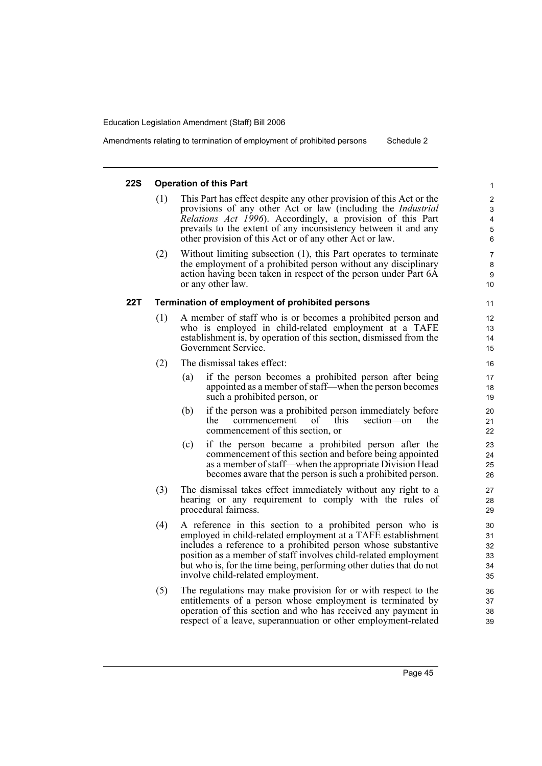Amendments relating to termination of employment of prohibited persons Schedule 2

# **22S Operation of this Part**

- (1) This Part has effect despite any other provision of this Act or the provisions of any other Act or law (including the *Industrial Relations Act 1996*). Accordingly, a provision of this Part prevails to the extent of any inconsistency between it and any other provision of this Act or of any other Act or law.
- (2) Without limiting subsection (1), this Part operates to terminate the employment of a prohibited person without any disciplinary action having been taken in respect of the person under Part 6A or any other law.

# **22T Termination of employment of prohibited persons**

- (1) A member of staff who is or becomes a prohibited person and who is employed in child-related employment at a TAFE establishment is, by operation of this section, dismissed from the Government Service.
- (2) The dismissal takes effect:
	- (a) if the person becomes a prohibited person after being appointed as a member of staff—when the person becomes such a prohibited person, or
	- (b) if the person was a prohibited person immediately before the commencement of this section—on the commencement of this section, or
	- (c) if the person became a prohibited person after the commencement of this section and before being appointed as a member of staff—when the appropriate Division Head becomes aware that the person is such a prohibited person.
- (3) The dismissal takes effect immediately without any right to a hearing or any requirement to comply with the rules of procedural fairness.
- (4) A reference in this section to a prohibited person who is employed in child-related employment at a TAFE establishment includes a reference to a prohibited person whose substantive position as a member of staff involves child-related employment but who is, for the time being, performing other duties that do not involve child-related employment.
- (5) The regulations may make provision for or with respect to the entitlements of a person whose employment is terminated by operation of this section and who has received any payment in respect of a leave, superannuation or other employment-related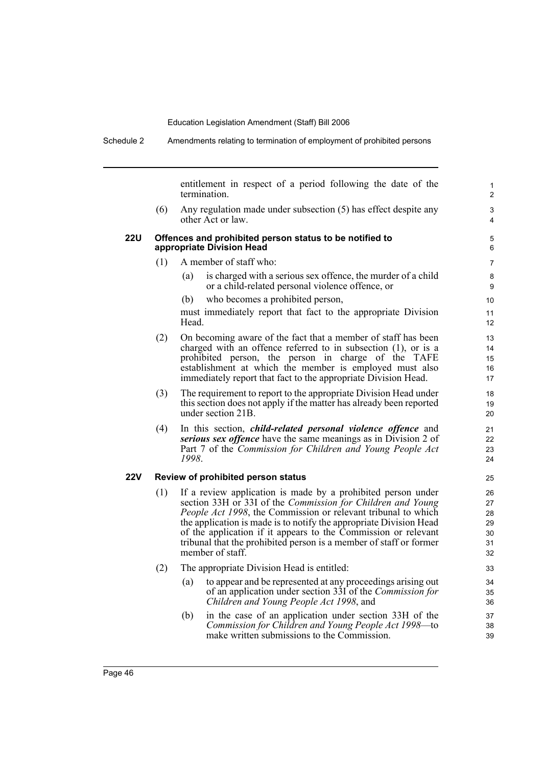|            |     | entitlement in respect of a period following the date of the<br>termination.                                                                                                                                                                                                                                                                                                                                                           |
|------------|-----|----------------------------------------------------------------------------------------------------------------------------------------------------------------------------------------------------------------------------------------------------------------------------------------------------------------------------------------------------------------------------------------------------------------------------------------|
|            | (6) | Any regulation made under subsection (5) has effect despite any<br>other Act or law.                                                                                                                                                                                                                                                                                                                                                   |
| <b>22U</b> |     | Offences and prohibited person status to be notified to<br>appropriate Division Head                                                                                                                                                                                                                                                                                                                                                   |
|            | (1) | A member of staff who:                                                                                                                                                                                                                                                                                                                                                                                                                 |
|            |     | is charged with a serious sex offence, the murder of a child<br>(a)<br>or a child-related personal violence offence, or                                                                                                                                                                                                                                                                                                                |
|            |     | who becomes a prohibited person,<br>(b)                                                                                                                                                                                                                                                                                                                                                                                                |
|            |     | must immediately report that fact to the appropriate Division<br>Head.                                                                                                                                                                                                                                                                                                                                                                 |
|            | (2) | On becoming aware of the fact that a member of staff has been<br>charged with an offence referred to in subsection (1), or is a<br>prohibited person, the person in charge of the TAFE<br>establishment at which the member is employed must also<br>immediately report that fact to the appropriate Division Head.                                                                                                                    |
|            | (3) | The requirement to report to the appropriate Division Head under<br>this section does not apply if the matter has already been reported<br>under section 21B.                                                                                                                                                                                                                                                                          |
|            | (4) | In this section, <i>child-related personal violence offence</i> and<br>serious sex offence have the same meanings as in Division 2 of<br>Part 7 of the Commission for Children and Young People Act<br>1998.                                                                                                                                                                                                                           |
| <b>22V</b> |     | Review of prohibited person status                                                                                                                                                                                                                                                                                                                                                                                                     |
|            | (1) | If a review application is made by a prohibited person under<br>section 33H or 33I of the Commission for Children and Young<br><i>People Act 1998</i> , the Commission or relevant tribunal to which<br>the application is made is to notify the appropriate Division Head<br>of the application if it appears to the Commission or relevant<br>tribunal that the prohibited person is a member of staff or former<br>member of staff. |
|            | (2) | The appropriate Division Head is entitled:                                                                                                                                                                                                                                                                                                                                                                                             |
|            |     | to appear and be represented at any proceedings arising out<br>(a)<br>of an application under section 33I of the <i>Commission for</i><br>Children and Young People Act 1998, and                                                                                                                                                                                                                                                      |
|            |     | in the case of an application under section 33H of the<br>(b)<br>Commission for Children and Young People Act 1998-to<br>make written submissions to the Commission.                                                                                                                                                                                                                                                                   |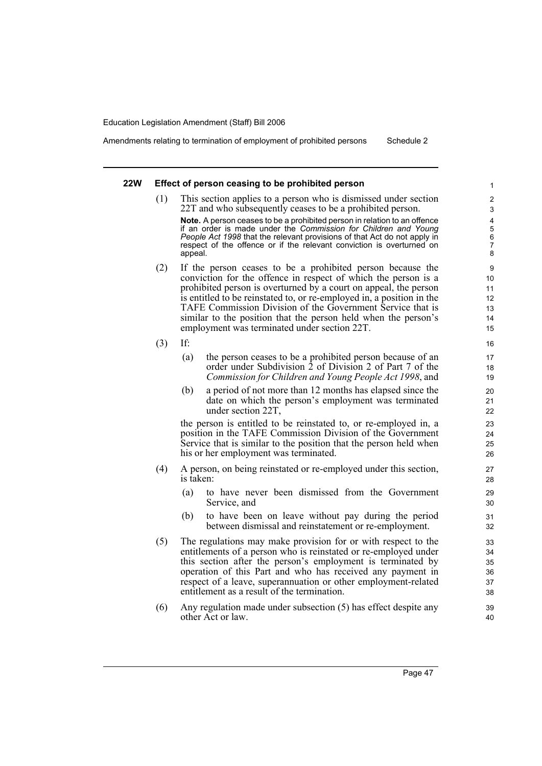Amendments relating to termination of employment of prohibited persons Schedule 2

## **22W Effect of person ceasing to be prohibited person**

(1) This section applies to a person who is dismissed under section 22T and who subsequently ceases to be a prohibited person.

**Note.** A person ceases to be a prohibited person in relation to an offence if an order is made under the *Commission for Children and Young People Act 1998* that the relevant provisions of that Act do not apply in respect of the offence or if the relevant conviction is overturned on appeal.

- (2) If the person ceases to be a prohibited person because the conviction for the offence in respect of which the person is a prohibited person is overturned by a court on appeal, the person is entitled to be reinstated to, or re-employed in, a position in the TAFE Commission Division of the Government Service that is similar to the position that the person held when the person's employment was terminated under section 22T.
- (3) If:
	- (a) the person ceases to be a prohibited person because of an order under Subdivision 2 of Division 2 of Part 7 of the *Commission for Children and Young People Act 1998*, and
	- (b) a period of not more than 12 months has elapsed since the date on which the person's employment was terminated under section 22T,

the person is entitled to be reinstated to, or re-employed in, a position in the TAFE Commission Division of the Government Service that is similar to the position that the person held when his or her employment was terminated.

- (4) A person, on being reinstated or re-employed under this section, is taken:
	- (a) to have never been dismissed from the Government Service, and
	- (b) to have been on leave without pay during the period between dismissal and reinstatement or re-employment.
- (5) The regulations may make provision for or with respect to the entitlements of a person who is reinstated or re-employed under this section after the person's employment is terminated by operation of this Part and who has received any payment in respect of a leave, superannuation or other employment-related entitlement as a result of the termination.
- (6) Any regulation made under subsection (5) has effect despite any other Act or law.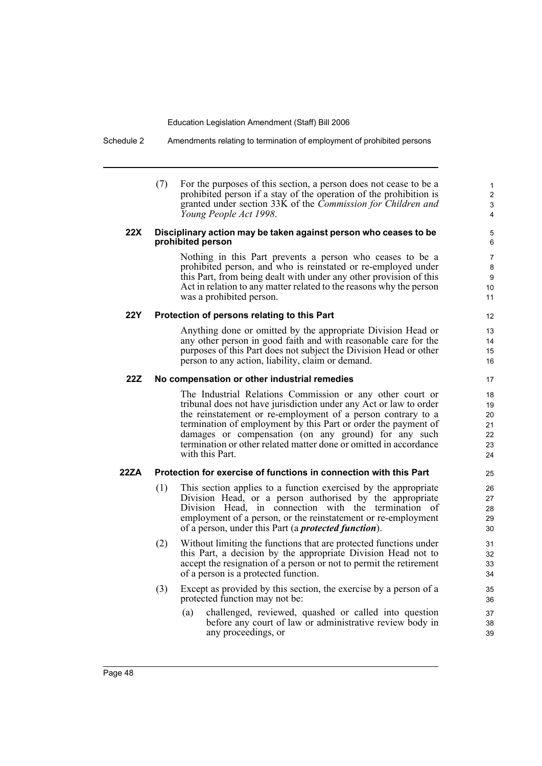Schedule 2 Amendments relating to termination of employment of prohibited persons

(7) For the purposes of this section, a person does not cease to be a prohibited person if a stay of the operation of the prohibition is granted under section 33K of the *Commission for Children and Young People Act 1998*.

# **22X Disciplinary action may be taken against person who ceases to be prohibited person**

Nothing in this Part prevents a person who ceases to be a prohibited person, and who is reinstated or re-employed under this Part, from being dealt with under any other provision of this Act in relation to any matter related to the reasons why the person was a prohibited person.

# **22Y Protection of persons relating to this Part**

Anything done or omitted by the appropriate Division Head or any other person in good faith and with reasonable care for the purposes of this Part does not subject the Division Head or other person to any action, liability, claim or demand.

### **22Z No compensation or other industrial remedies**

The Industrial Relations Commission or any other court or tribunal does not have jurisdiction under any Act or law to order the reinstatement or re-employment of a person contrary to a termination of employment by this Part or order the payment of damages or compensation (on any ground) for any such termination or other related matter done or omitted in accordance with this Part.

# **22ZA Protection for exercise of functions in connection with this Part**

- (1) This section applies to a function exercised by the appropriate Division Head, or a person authorised by the appropriate Division Head, in connection with the termination of employment of a person, or the reinstatement or re-employment of a person, under this Part (a *protected function*).
- (2) Without limiting the functions that are protected functions under this Part, a decision by the appropriate Division Head not to accept the resignation of a person or not to permit the retirement of a person is a protected function.
- (3) Except as provided by this section, the exercise by a person of a protected function may not be:
	- (a) challenged, reviewed, quashed or called into question before any court of law or administrative review body in any proceedings, or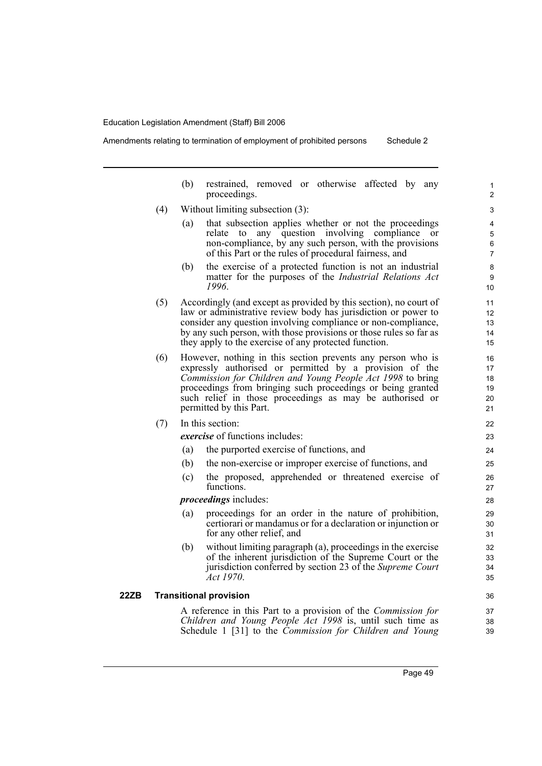Amendments relating to termination of employment of prohibited persons Schedule 2

(b) restrained, removed or otherwise affected by any proceedings. (4) Without limiting subsection (3): (a) that subsection applies whether or not the proceedings relate to any question involving compliance or non-compliance, by any such person, with the provisions of this Part or the rules of procedural fairness, and (b) the exercise of a protected function is not an industrial matter for the purposes of the *Industrial Relations Act 1996*. (5) Accordingly (and except as provided by this section), no court of law or administrative review body has jurisdiction or power to consider any question involving compliance or non-compliance, by any such person, with those provisions or those rules so far as they apply to the exercise of any protected function. (6) However, nothing in this section prevents any person who is expressly authorised or permitted by a provision of the *Commission for Children and Young People Act 1998* to bring proceedings from bringing such proceedings or being granted such relief in those proceedings as may be authorised or permitted by this Part. (7) In this section: *exercise* of functions includes: (a) the purported exercise of functions, and (b) the non-exercise or improper exercise of functions, and (c) the proposed, apprehended or threatened exercise of functions. *proceedings* includes: (a) proceedings for an order in the nature of prohibition, certiorari or mandamus or for a declaration or injunction or for any other relief, and (b) without limiting paragraph (a), proceedings in the exercise of the inherent jurisdiction of the Supreme Court or the jurisdiction conferred by section 23 of the *Supreme Court Act 1970*. **22ZB Transitional provision** A reference in this Part to a provision of the *Commission for Children and Young People Act 1998* is, until such time as Schedule 1 [31] to the *Commission for Children and Young* 1  $\overline{2}$ 3 4 5 6 7 8 9 10 11 12 13 14 15 16 17 18 19 20 21 22 23 24 25 26 27 28 29 30 31 32 33 34 35 36 37 38 39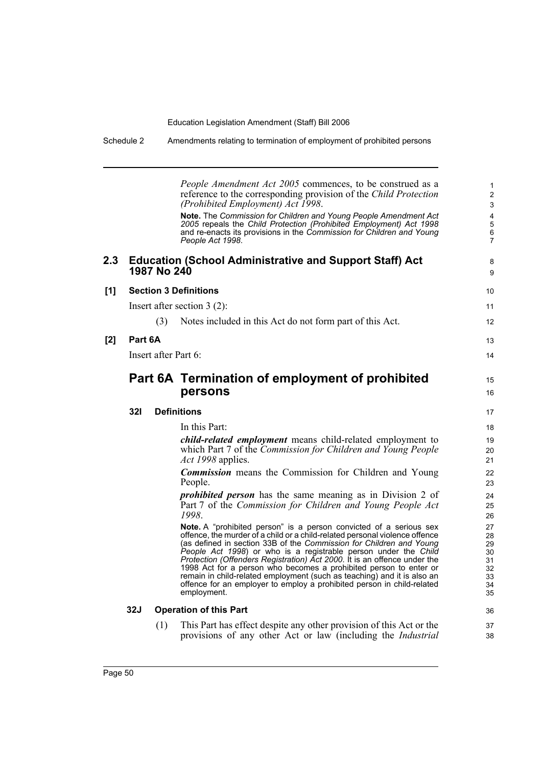| Schedule 2       |                      |             | Amendments relating to termination of employment of prohibited persons                                                                                                                                                                                                                                                                                                                                                                                                                                                                                                                                           |                                                    |  |
|------------------|----------------------|-------------|------------------------------------------------------------------------------------------------------------------------------------------------------------------------------------------------------------------------------------------------------------------------------------------------------------------------------------------------------------------------------------------------------------------------------------------------------------------------------------------------------------------------------------------------------------------------------------------------------------------|----------------------------------------------------|--|
|                  |                      |             | <i>People Amendment Act 2005</i> commences, to be construed as a<br>reference to the corresponding provision of the Child Protection<br>(Prohibited Employment) Act 1998.<br>Note. The Commission for Children and Young People Amendment Act                                                                                                                                                                                                                                                                                                                                                                    | $\mathbf{1}$<br>$\overline{c}$<br>3<br>4           |  |
|                  |                      |             | 2005 repeals the Child Protection (Prohibited Employment) Act 1998<br>and re-enacts its provisions in the Commission for Children and Young<br>People Act 1998.                                                                                                                                                                                                                                                                                                                                                                                                                                                  | 5<br>$\,6\,$<br>7                                  |  |
| $2.3\phantom{0}$ |                      | 1987 No 240 | <b>Education (School Administrative and Support Staff) Act</b>                                                                                                                                                                                                                                                                                                                                                                                                                                                                                                                                                   | 8<br>9                                             |  |
| [1]              |                      |             | <b>Section 3 Definitions</b>                                                                                                                                                                                                                                                                                                                                                                                                                                                                                                                                                                                     | 10                                                 |  |
|                  |                      |             | Insert after section $3(2)$ :                                                                                                                                                                                                                                                                                                                                                                                                                                                                                                                                                                                    | 11                                                 |  |
|                  |                      | (3)         | Notes included in this Act do not form part of this Act.                                                                                                                                                                                                                                                                                                                                                                                                                                                                                                                                                         | $12 \overline{ }$                                  |  |
| $[2]$            | Part 6A              |             |                                                                                                                                                                                                                                                                                                                                                                                                                                                                                                                                                                                                                  | 13                                                 |  |
|                  | Insert after Part 6: |             |                                                                                                                                                                                                                                                                                                                                                                                                                                                                                                                                                                                                                  |                                                    |  |
|                  |                      |             | Part 6A Termination of employment of prohibited                                                                                                                                                                                                                                                                                                                                                                                                                                                                                                                                                                  | 15                                                 |  |
|                  |                      |             | persons                                                                                                                                                                                                                                                                                                                                                                                                                                                                                                                                                                                                          | 16                                                 |  |
|                  | 32I                  |             | <b>Definitions</b>                                                                                                                                                                                                                                                                                                                                                                                                                                                                                                                                                                                               | 17                                                 |  |
|                  |                      |             | In this Part:                                                                                                                                                                                                                                                                                                                                                                                                                                                                                                                                                                                                    | 18                                                 |  |
|                  |                      |             | <i>child-related employment</i> means child-related employment to<br>which Part 7 of the Commission for Children and Young People<br>Act 1998 applies.                                                                                                                                                                                                                                                                                                                                                                                                                                                           | 19<br>20<br>21                                     |  |
|                  |                      |             | <b>Commission</b> means the Commission for Children and Young<br>People.                                                                                                                                                                                                                                                                                                                                                                                                                                                                                                                                         | 22<br>23                                           |  |
|                  |                      |             | <i>prohibited person</i> has the same meaning as in Division 2 of<br>Part 7 of the Commission for Children and Young People Act<br>1998.                                                                                                                                                                                                                                                                                                                                                                                                                                                                         | 24<br>25<br>26                                     |  |
|                  |                      |             | Note. A "prohibited person" is a person convicted of a serious sex<br>offence, the murder of a child or a child-related personal violence offence<br>(as defined in section 33B of the Commission for Children and Young<br>People Act 1998) or who is a registrable person under the Child<br>Protection (Offenders Registration) Act 2000. It is an offence under the<br>1998 Act for a person who becomes a prohibited person to enter or<br>remain in child-related employment (such as teaching) and it is also an<br>offence for an employer to employ a prohibited person in child-related<br>employment. | 27<br>28<br>29<br>30<br>31<br>32<br>33<br>34<br>35 |  |
|                  | 32J                  |             | <b>Operation of this Part</b>                                                                                                                                                                                                                                                                                                                                                                                                                                                                                                                                                                                    | 36                                                 |  |
|                  |                      | (1)         | This Part has effect despite any other provision of this Act or the<br>provisions of any other Act or law (including the <i>Industrial</i>                                                                                                                                                                                                                                                                                                                                                                                                                                                                       | 37<br>38                                           |  |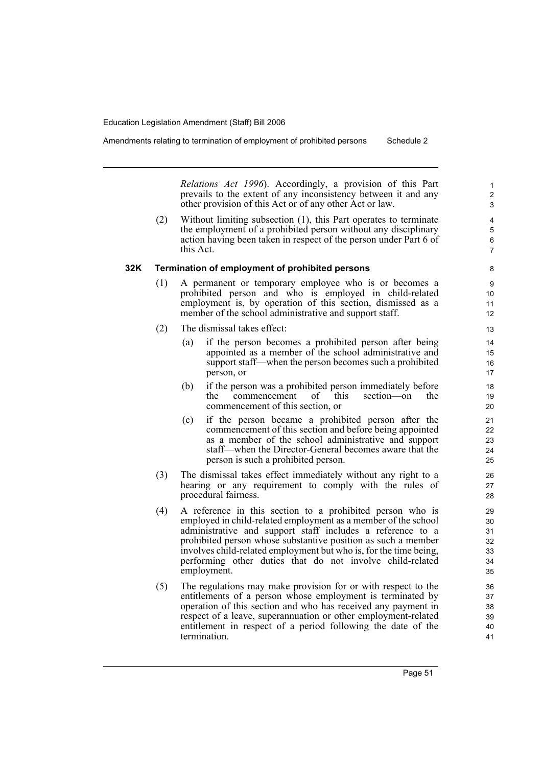*Relations Act 1996*). Accordingly, a provision of this Part prevails to the extent of any inconsistency between it and any other provision of this Act or of any other Act or law.

(2) Without limiting subsection (1), this Part operates to terminate the employment of a prohibited person without any disciplinary action having been taken in respect of the person under Part 6 of this Act.

# **32K Termination of employment of prohibited persons**

- (1) A permanent or temporary employee who is or becomes a prohibited person and who is employed in child-related employment is, by operation of this section, dismissed as a member of the school administrative and support staff.
- (2) The dismissal takes effect:
	- (a) if the person becomes a prohibited person after being appointed as a member of the school administrative and support staff—when the person becomes such a prohibited person, or
	- (b) if the person was a prohibited person immediately before the commencement of this section—on the commencement of this section, or
	- (c) if the person became a prohibited person after the commencement of this section and before being appointed as a member of the school administrative and support staff—when the Director-General becomes aware that the person is such a prohibited person.
- (3) The dismissal takes effect immediately without any right to a hearing or any requirement to comply with the rules of procedural fairness.
- (4) A reference in this section to a prohibited person who is employed in child-related employment as a member of the school administrative and support staff includes a reference to a prohibited person whose substantive position as such a member involves child-related employment but who is, for the time being, performing other duties that do not involve child-related employment.
- (5) The regulations may make provision for or with respect to the entitlements of a person whose employment is terminated by operation of this section and who has received any payment in respect of a leave, superannuation or other employment-related entitlement in respect of a period following the date of the termination.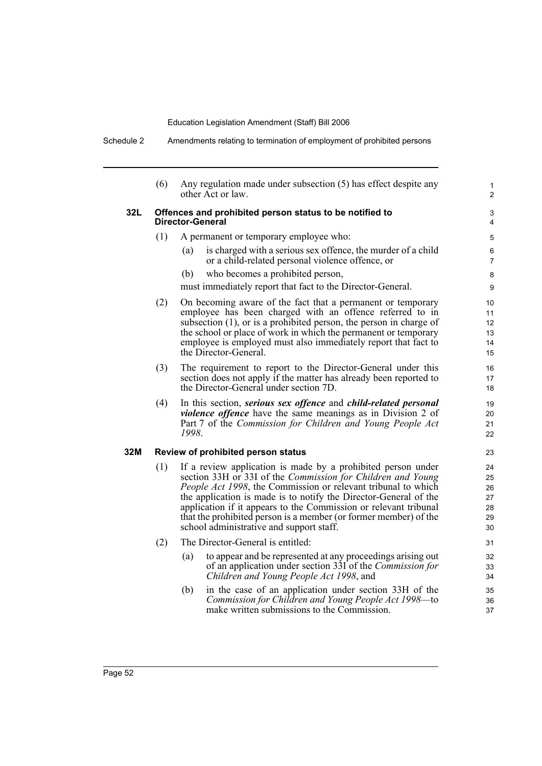Schedule 2 Amendments relating to termination of employment of prohibited persons

| (6)                                                                                | Any regulation made under subsection (5) has effect despite any<br>other Act or law.                                                                                                                                                                                                                                                                                                                                                                         | $\mathbf{1}$<br>$\overline{2}$   |  |  |
|------------------------------------------------------------------------------------|--------------------------------------------------------------------------------------------------------------------------------------------------------------------------------------------------------------------------------------------------------------------------------------------------------------------------------------------------------------------------------------------------------------------------------------------------------------|----------------------------------|--|--|
| Offences and prohibited person status to be notified to<br><b>Director-General</b> |                                                                                                                                                                                                                                                                                                                                                                                                                                                              |                                  |  |  |
| (1)                                                                                | A permanent or temporary employee who:                                                                                                                                                                                                                                                                                                                                                                                                                       | 5                                |  |  |
|                                                                                    | is charged with a serious sex offence, the murder of a child<br>(a)<br>or a child-related personal violence offence, or                                                                                                                                                                                                                                                                                                                                      | 6<br>$\overline{7}$              |  |  |
|                                                                                    | who becomes a prohibited person,<br>(b)                                                                                                                                                                                                                                                                                                                                                                                                                      | 8                                |  |  |
|                                                                                    | must immediately report that fact to the Director-General.                                                                                                                                                                                                                                                                                                                                                                                                   | 9                                |  |  |
| (2)                                                                                | On becoming aware of the fact that a permanent or temporary<br>employee has been charged with an offence referred to in<br>subsection $(1)$ , or is a prohibited person, the person in charge of<br>the school or place of work in which the permanent or temporary<br>employee is employed must also immediately report that fact to<br>the Director-General.                                                                                               | 10<br>11<br>12<br>13<br>14<br>15 |  |  |
| (3)                                                                                | The requirement to report to the Director-General under this<br>section does not apply if the matter has already been reported to<br>the Director-General under section 7D.                                                                                                                                                                                                                                                                                  | 16<br>17<br>18                   |  |  |
| (4)                                                                                | In this section, serious sex offence and child-related personal<br><i>violence offence</i> have the same meanings as in Division 2 of<br>Part 7 of the Commission for Children and Young People Act<br>1998.                                                                                                                                                                                                                                                 |                                  |  |  |
| Review of prohibited person status                                                 |                                                                                                                                                                                                                                                                                                                                                                                                                                                              |                                  |  |  |
| (1)                                                                                | If a review application is made by a prohibited person under<br>section 33H or 33I of the Commission for Children and Young<br><i>People Act 1998</i> , the Commission or relevant tribunal to which<br>the application is made is to notify the Director-General of the<br>application if it appears to the Commission or relevant tribunal<br>that the prohibited person is a member (or former member) of the<br>school administrative and support staff. |                                  |  |  |
| (2)                                                                                | The Director-General is entitled:                                                                                                                                                                                                                                                                                                                                                                                                                            |                                  |  |  |
|                                                                                    | to appear and be represented at any proceedings arising out<br>(a)<br>of an application under section 33I of the <i>Commission for</i><br>Children and Young People Act 1998, and                                                                                                                                                                                                                                                                            | 32<br>33<br>34                   |  |  |
|                                                                                    | in the case of an application under section 33H of the<br>(b)<br>Commission for Children and Young People Act 1998—to<br>make written submissions to the Commission.                                                                                                                                                                                                                                                                                         | 35<br>36<br>37                   |  |  |
|                                                                                    |                                                                                                                                                                                                                                                                                                                                                                                                                                                              |                                  |  |  |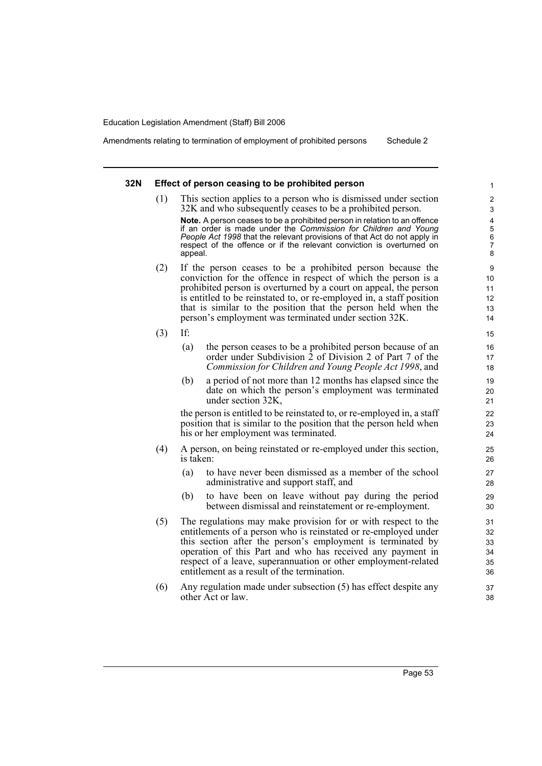Amendments relating to termination of employment of prohibited persons Schedule 2

### **32N Effect of person ceasing to be prohibited person**

(1) This section applies to a person who is dismissed under section 32K and who subsequently ceases to be a prohibited person.

**Note.** A person ceases to be a prohibited person in relation to an offence if an order is made under the *Commission for Children and Young People Act 1998* that the relevant provisions of that Act do not apply in respect of the offence or if the relevant conviction is overturned on appeal.

- (2) If the person ceases to be a prohibited person because the conviction for the offence in respect of which the person is a prohibited person is overturned by a court on appeal, the person is entitled to be reinstated to, or re-employed in, a staff position that is similar to the position that the person held when the person's employment was terminated under section 32K.
- (3) If:
	- (a) the person ceases to be a prohibited person because of an order under Subdivision 2 of Division 2 of Part 7 of the *Commission for Children and Young People Act 1998*, and
	- (b) a period of not more than 12 months has elapsed since the date on which the person's employment was terminated under section 32K,

the person is entitled to be reinstated to, or re-employed in, a staff position that is similar to the position that the person held when his or her employment was terminated.

- (4) A person, on being reinstated or re-employed under this section, is taken:
	- (a) to have never been dismissed as a member of the school administrative and support staff, and
	- (b) to have been on leave without pay during the period between dismissal and reinstatement or re-employment.
- (5) The regulations may make provision for or with respect to the entitlements of a person who is reinstated or re-employed under this section after the person's employment is terminated by operation of this Part and who has received any payment in respect of a leave, superannuation or other employment-related entitlement as a result of the termination.
- (6) Any regulation made under subsection (5) has effect despite any other Act or law.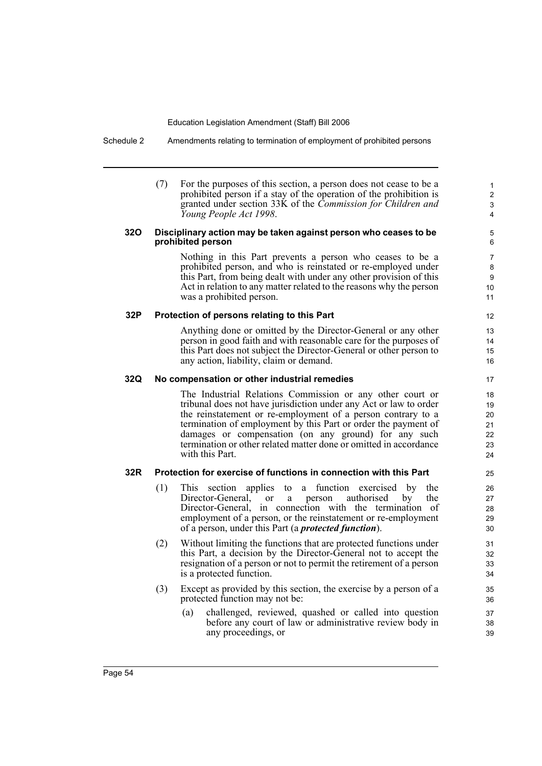Schedule 2 Amendments relating to termination of employment of prohibited persons

(7) For the purposes of this section, a person does not cease to be a prohibited person if a stay of the operation of the prohibition is granted under section 33K of the *Commission for Children and Young People Act 1998*.

# **32O Disciplinary action may be taken against person who ceases to be prohibited person**

Nothing in this Part prevents a person who ceases to be a prohibited person, and who is reinstated or re-employed under this Part, from being dealt with under any other provision of this Act in relation to any matter related to the reasons why the person was a prohibited person.

# **32P Protection of persons relating to this Part**

Anything done or omitted by the Director-General or any other person in good faith and with reasonable care for the purposes of this Part does not subject the Director-General or other person to any action, liability, claim or demand.

# **32Q No compensation or other industrial remedies**

The Industrial Relations Commission or any other court or tribunal does not have jurisdiction under any Act or law to order the reinstatement or re-employment of a person contrary to a termination of employment by this Part or order the payment of damages or compensation (on any ground) for any such termination or other related matter done or omitted in accordance with this Part.

# **32R Protection for exercise of functions in connection with this Part**

- (1) This section applies to a function exercised by the Director-General, or a person authorised by the Director-General, in connection with the termination of employment of a person, or the reinstatement or re-employment of a person, under this Part (a *protected function*).
- (2) Without limiting the functions that are protected functions under this Part, a decision by the Director-General not to accept the resignation of a person or not to permit the retirement of a person is a protected function.
- (3) Except as provided by this section, the exercise by a person of a protected function may not be:
	- (a) challenged, reviewed, quashed or called into question before any court of law or administrative review body in any proceedings, or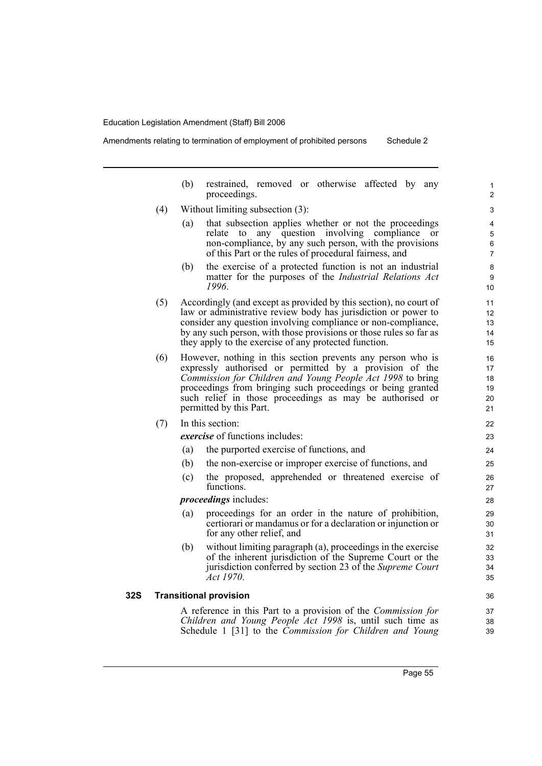Amendments relating to termination of employment of prohibited persons Schedule 2

(b) restrained, removed or otherwise affected by any proceedings. (4) Without limiting subsection (3): (a) that subsection applies whether or not the proceedings relate to any question involving compliance or non-compliance, by any such person, with the provisions of this Part or the rules of procedural fairness, and (b) the exercise of a protected function is not an industrial matter for the purposes of the *Industrial Relations Act 1996*. (5) Accordingly (and except as provided by this section), no court of law or administrative review body has jurisdiction or power to consider any question involving compliance or non-compliance, by any such person, with those provisions or those rules so far as they apply to the exercise of any protected function. (6) However, nothing in this section prevents any person who is expressly authorised or permitted by a provision of the *Commission for Children and Young People Act 1998* to bring proceedings from bringing such proceedings or being granted such relief in those proceedings as may be authorised or permitted by this Part. (7) In this section: *exercise* of functions includes: (a) the purported exercise of functions, and (b) the non-exercise or improper exercise of functions, and (c) the proposed, apprehended or threatened exercise of functions. *proceedings* includes: (a) proceedings for an order in the nature of prohibition, certiorari or mandamus or for a declaration or injunction or for any other relief, and (b) without limiting paragraph (a), proceedings in the exercise of the inherent jurisdiction of the Supreme Court or the jurisdiction conferred by section 23 of the *Supreme Court Act 1970*. **32S Transitional provision** A reference in this Part to a provision of the *Commission for Children and Young People Act 1998* is, until such time as Schedule 1 [31] to the *Commission for Children and Young* 1  $\overline{2}$ 3 4 5 6 7 8 9 10 11 12 13 14 15 16 17 18 19 20 21 22 23 24 25 26 27 28 29 30 31 32 33 34 35 36 37 38 39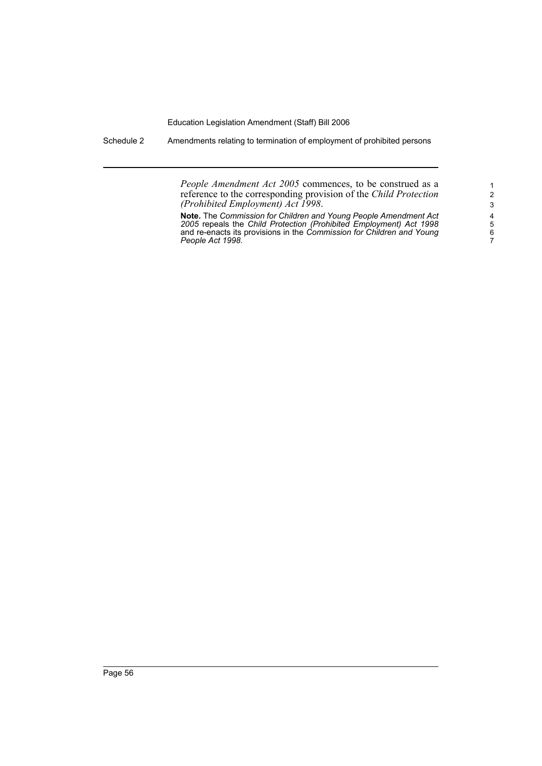Schedule 2 Amendments relating to termination of employment of prohibited persons

*People Amendment Act 2005* commences, to be construed as a reference to the corresponding provision of the *Child Protection (Prohibited Employment) Act 1998*.

**Note.** The *Commission for Children and Young People Amendment Act 2005* repeals the *Child Protection (Prohibited Employment) Act 1998* and re-enacts its provisions in the *Commission for Children and Young People Act 1998*.